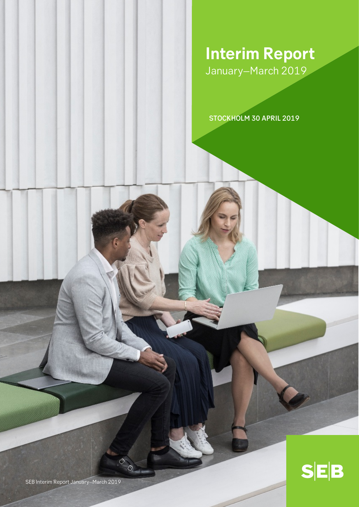**Interim Report** January–March 2019

STOCKHOLM 30 APRIL 2019

⊘  $\circ$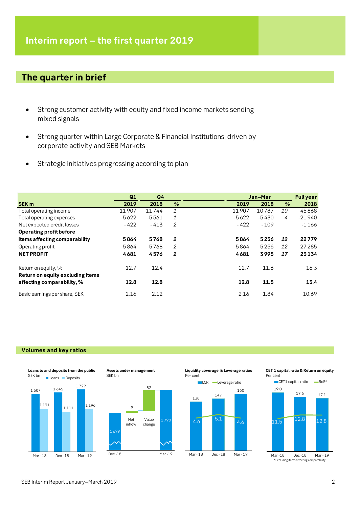# **The quarter in brief**

- Strong customer activity with equity and fixed income markets sending mixed signals
- Strong quarter within Large Corporate & Financial Institutions, driven by corporate activity and SEB Markets
- Strategic initiatives progressing according to plan

|                                                         | Q1      | Q <sub>4</sub> |              |         | Jan-Mar |           | <b>Full year</b> |
|---------------------------------------------------------|---------|----------------|--------------|---------|---------|-----------|------------------|
| <b>SEK m</b>                                            | 2019    | 2018           | %            | 2019    | 2018    | %         | 2018             |
| Total operating income                                  | 11907   | 11744          | 1            | 11907   | 10787   | <i>10</i> | 45868            |
| Total operating expenses                                | $-5622$ | $-5561$        | 1            | $-5622$ | $-5430$ | 4         | $-21940$         |
| Net expected credit losses                              | $-422$  | $-413$         | 2            | $-422$  | $-109$  |           | $-1166$          |
| Operating profit before                                 |         |                |              |         |         |           |                  |
| items affecting comparability                           | 5864    | 5768           | $\mathbf{2}$ | 5864    | 5256    | 12        | 22779            |
| Operating profit                                        | 5864    | 5768           | 2            | 5864    | 5256    | 12        | 27 285           |
| <b>NET PROFIT</b>                                       | 4681    | 4576           | 2            | 4681    | 3995    | 17        | 23134            |
| Return on equity, %<br>Return on equity excluding items | 12.7    | 12.4           |              | 12.7    | 11.6    |           | 16.3             |
| affecting comparability, %                              | 12.8    | 12.8           |              | 12.8    | 11.5    |           | 13.4             |
| Basic earnings per share, SEK                           | 2.16    | 2.12           |              | 2.16    | 1.84    |           | 10.69            |

### **Volumes and key ratios**







**Liquidity coverage & Leverage ratios** Per cent



**CET 1 capital ratio & Return on equity** Per cent

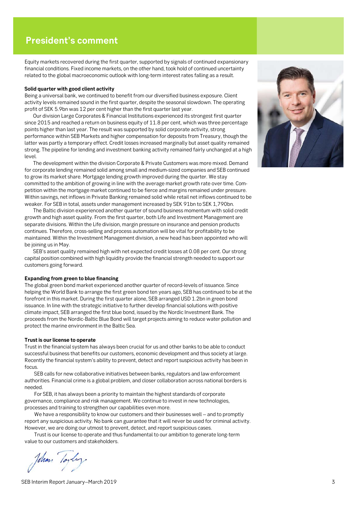# **President's comment**

Equity markets recovered during the first quarter, supported by signals of continued expansionary financial conditions. Fixed income markets, on the other hand, took hold of continued uncertainty related to the global macroeconomic outlook with long-term interest rates falling as a result.

#### **Solid quarter with good client activity**

Being a universal bank, we continued to benefit from our diversified business exposure. Client activity levels remained sound in the first quarter, despite the seasonal slowdown. The operating profit of SEK 5.9bn was 12 per cent higher than the first quarter last year.

Our division Large Corporates & Financial Institutions experienced its strongest first quarter since 2015 and reached a return on business equity of 11.8 per cent, which was three percentage points higher than last year. The result was supported by solid corporate activity, strong performance within SEB Markets and higher compensation for deposits from Treasury, though the latter was partly a temporary effect. Credit losses increased marginally but asset quality remained strong. The pipeline for lending and investment banking activity remained fairly unchanged at a high level.

The development within the division Corporate & Private Customers was more mixed. Demand for corporate lending remained solid among small and medium-sized companies and SEB continued to grow its market share. Mortgage lending growth improved during the quarter. We stay committed to the ambition of growing in line with the average market growth rate over time. Competition within the mortgage market continued to be fierce and margins remained under pressure. Within savings, net inflows in Private Banking remained solid while retail net inflows continued to be weaker. For SEB in total, assets under management increased by SEK 91bn to SEK 1,790bn.

The Baltic division experienced another quarter of sound business momentum with solid credit growth and high asset quality. From the first quarter, both Life and Investment Management are separate divisions. Within the Life division, margin pressure on insurance and pension products continues. Therefore, cross-selling and process automation will be vital for profitability to be maintained. Within the Investment Management division, a new head has been appointed who will be joining us in May.

SEB's asset quality remained high with net expected credit losses at 0.08 per cent. Our strong capital position combined with high liquidity provide the financial strength needed to support our customers going forward.

#### **Expanding from green to blue financing**

The global green bond market experienced another quarter of record-levels of issuance. Since helping the World Bank to arrange the first green bond ten years ago, SEB has continued to be at the forefront in this market. During the first quarter alone, SEB arranged USD 1.2bn in green bond issuance. In line with the strategic initiative to further develop financial solutions with positive climate impact, SEB arranged the first blue bond, issued by the Nordic Investment Bank. The proceeds from the Nordic-Baltic Blue Bond will target projects aiming to reduce water pollution and protect the marine environment in the Baltic Sea.

#### **Trust is our license to operate**

Trust in the financial system has always been crucial for us and other banks to be able to conduct successful business that benefits our customers, economic development and thus society at large. Recently the financial system's ability to prevent, detect and report suspicious activity has been in focus.

SEB calls for new collaborative initiatives between banks, regulators and law enforcement authorities. Financial crime is a global problem, and closer collaboration across national borders is needed.

For SEB, it has always been a priority to maintain the highest standards of corporate governance, compliance and risk management. We continue to invest in new technologies, processes and training to strengthen our capabilities even more.

We have a responsibility to know our customers and their businesses well – and to promptly report any suspicious activity. No bank can guarantee that it will never be used for criminal activity. However, we are doing our utmost to prevent, detect, and report suspicious cases.

Trust is our license to operate and thus fundamental to our ambition to generate long-term value to our customers and stakeholders.

Tohan



SEB Interim Report January–March 2019 3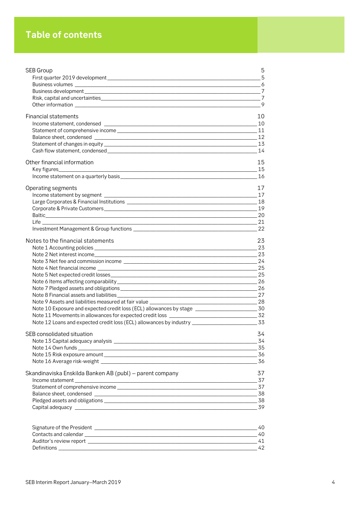# **Table of contents**

| SEB Group                                                                                                                            | 5    |
|--------------------------------------------------------------------------------------------------------------------------------------|------|
|                                                                                                                                      | - 5  |
|                                                                                                                                      |      |
|                                                                                                                                      |      |
|                                                                                                                                      | $-7$ |
|                                                                                                                                      | - 9  |
| <b>Financial statements</b>                                                                                                          | 10   |
|                                                                                                                                      | 10   |
|                                                                                                                                      |      |
|                                                                                                                                      |      |
|                                                                                                                                      |      |
|                                                                                                                                      |      |
| Other financial information                                                                                                          | 15   |
| Key figures____________                                                                                                              | 15   |
|                                                                                                                                      |      |
| Operating segments                                                                                                                   | 17   |
|                                                                                                                                      |      |
|                                                                                                                                      |      |
|                                                                                                                                      |      |
|                                                                                                                                      | 20   |
|                                                                                                                                      |      |
|                                                                                                                                      | 22   |
| Notes to the financial statements                                                                                                    | 23   |
|                                                                                                                                      | 23   |
|                                                                                                                                      |      |
|                                                                                                                                      |      |
|                                                                                                                                      |      |
|                                                                                                                                      | -25  |
|                                                                                                                                      | -26  |
|                                                                                                                                      |      |
|                                                                                                                                      |      |
| Note 10 Exposure and expected credit loss (ECL) allowances by stage ______________________________30                                 |      |
|                                                                                                                                      |      |
|                                                                                                                                      |      |
| SEB consolidated situation                                                                                                           | 34   |
|                                                                                                                                      | -34  |
|                                                                                                                                      |      |
|                                                                                                                                      |      |
|                                                                                                                                      | _36  |
| Skandinaviska Enskilda Banken AB (publ) - parent company                                                                             | 37   |
|                                                                                                                                      | -37  |
|                                                                                                                                      |      |
|                                                                                                                                      |      |
|                                                                                                                                      | _38  |
|                                                                                                                                      | -39  |
|                                                                                                                                      | 40   |
|                                                                                                                                      | 40   |
|                                                                                                                                      | 41   |
| Definitions<br><u> 1989 - Johann Stoff, deutscher Stoff, der Stoff, der Stoff, der Stoff, der Stoff, der Stoff, der Stoff, der S</u> | 42   |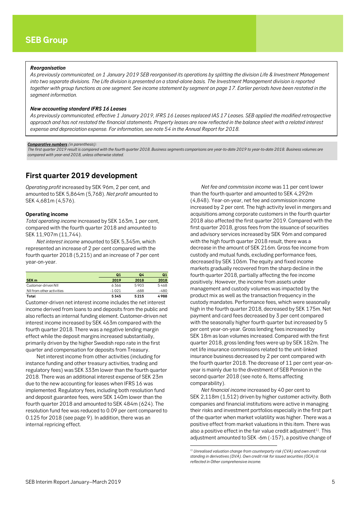#### <span id="page-4-0"></span>*Reorganisation*

*As previously communicated, on 1 January 2019 SEB reorganised its operations by splitting the division Life & Investment Management into two separate divisions. The Life division is presented on a stand-alone basis. The Investment Management division is reported together with group functions as one segment. See income statement by segment on page 17. Earlier periods have been restated in the segment information.*

#### *New accounting standard IFRS 16 Leases*

*As previously communicated, effective 1 January 2019, IFRS 16 Leases replaced IAS 17 Leases. SEB applied the modified retrospective approach and has not restated the financial statements. Property leases are now reflected in the balance sheet with a related interest expense and depreciation expense. For information, see note 54 in the Annual Report for 2018.* 

#### *Comparative numbers (in parenthesis):*

*The first quarter 2019 result is compared with the fourth quarter 2018. Business segments comparisons are year-to-date 2019 to year-to-date 2018. Business volumes are compared with year-end 2018, unless otherwise stated.*

## <span id="page-4-1"></span>**First quarter 2019 development**

*Operating profit* increased by SEK 96m, 2 per cent, and amounted to SEK 5,864m (5,768). *Net profit* amounted to SEK 4,681m (4,576).

#### **Operating income**

*Total operating income* increased by SEK 163m, 1 per cent, compared with the fourth quarter 2018 and amounted to SEK 11,907m (11,744).

*Net interest income* amounted to SEK 5,345m, which represented an increase of 2 per cent compared with the fourth quarter 2018 (5,215) and an increase of 7 per cent year-on-year.

|                           | Q1      | 04   | Q <sub>1</sub> |
|---------------------------|---------|------|----------------|
| SEK <sub>m</sub>          | 2019    | 2018 | 2018           |
| Customer-driven NII       | 6366    | 5903 | 5468           |
| NII from other activities | $-1021$ | -688 | -480           |
| Total                     | 5345    | 5215 | 4988           |

Customer-driven net interest income includes the net interest income derived from loans to and deposits from the public and also reflects an internal funding element. Customer-driven net interest income increased by SEK 463m compared with the fourth quarter 2018. There was a negative lending margin effect while the deposit margins increased substantially, primarily driven by the higher Swedish repo rate in the first quarter and compensation for deposits from Treasury.

<span id="page-4-2"></span>Net interest income from other activities (including for instance funding and other treasury activities, trading and regulatory fees) was SEK 333m lower than the fourth quarter 2018. There was an additional interest expense of SEK 23m due to the new accounting for leases when IFRS 16 was implemented. Regulatory fees, including both resolution fund and deposit guarantee fees, were SEK 140m lower than the fourth quarter 2018 and amounted to SEK 484m (624). The resolution fund fee was reduced to 0.09 per cent compared to 0.125 for 2018 (see page 9). In addition, there was an internal repricing effect.

*Net fee and commission income* was 11 per cent lower than the fourth quarter and amounted to SEK 4,292m (4,848). Year-on-year, net fee and commission income increased by 2 per cent. The high activity level in mergers and acquisitions among corporate customers in the fourth quarter 2018 also affected the first quarter 2019. Compared with the first quarter 2018, gross fees from the issuance of securities and advisory services increased by SEK 96m and compared with the high fourth quarter 2018 result, there was a decrease in the amount of SEK 216m. Gross fee income from custody and mutual funds, excluding performance fees, decreased by SEK 106m. The equity and fixed income markets gradually recovered from the sharp decline in the fourth quarter 2018, partially affecting the fee income positively. However, the income from assets under management and custody volumes was impacted by the product mix as well as the transaction frequency in the custody mandates. Performance fees, which were seasonally high in the fourth quarter 2018, decreased by SEK 175m. Net payment and card fees decreased by 3 per cent compared with the seasonally higher fourth quarter but increased by 5 per cent year-on-year. Gross lending fees increased by SEK 18m as loan volumes increased. Compared with the first quarter 2018, gross lending fees were up by SEK 182m. The net life insurance commissions related to the unit-linked insurance business decreased by 2 per cent compared with the fourth quarter 2018. The decrease of 11 per cent year-onyear is mainly due to the divestment of SEB Pension in the second quarter 2018 (see note 6, Items affecting comparability).

*Net financial income* increased by 40 per cent to SEK 2,118m (1,512) driven by higher customer activity. Both companies and financial institutions were active in managing their risks and investment portfolios especially in the first part of the quarter when market volatility was higher. There was a positive effect from market valuations in this item. There was also a positive effect in the fair value credit adjustment<sup>[1](#page-4-2))</sup>. This adjustment amounted to SEK -6m (-157), a positive change of

1

*<sup>1)</sup> Unrealised valuation change from counterparty risk (CVA) and own credit risk standing in derivatives (DVA). Own credit risk for issued securities (OCA) is reflected in Other comprehensive income.*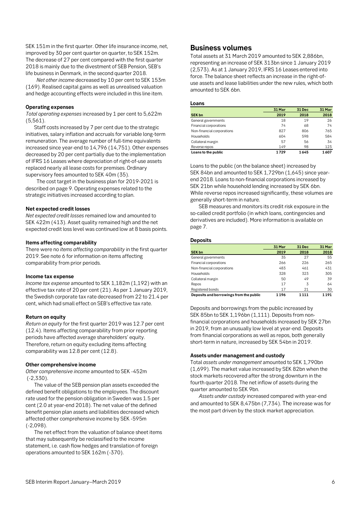SEK 151m in the first quarter. Other life insurance income, net, improved by 30 per cent quarter on quarter, to SEK 152m. The decrease of 27 per cent compared with the first quarter 2018 is mainly due to the divestment of SEB Pension, SEB's life business in Denmark, in the second quarter 2018.

*Net other income* decreased by 10 per cent to SEK 153m (169). Realised capital gains as well as unrealised valuation and hedge accounting effects were included in this line item.

#### **Operating expenses**

*Total operating expenses* increased by 1 per cent to 5,622m (5,561).

Staff costs increased by 7 per cent due to the strategic initiatives, salary inflation and accruals for variable long-term remuneration. The average number of full-time equivalents increased since year-end to 14,796 (14,751). Other expenses decreased by 20 per cent partially due to the implementation of IFRS 16 Leases where depreciation of right-of-use assets replaced nearly all lease costs for premises. Ordinary supervisory fees amounted to SEK 40m (35).

The cost target in the business plan for 2019-2021 is described on page 9. Operating expenses related to the strategic initiatives increased according to plan.

#### **Net expected credit losses**

*Net expected credit losses* remained low and amounted to SEK 422m (413). Asset quality remained high and the net expected credit loss level was continued low at 8 basis points.

#### **Items affecting comparability**

There were no *items affecting comparability* in the first quarter 2019. See note 6 for information on items affecting comparability from prior periods.

#### **Income tax expense**

*Income tax expense* amounted to SEK 1,182m (1,192) with an effective tax rate of 20 per cent (21). As per 1 January 2019, the Swedish corporate tax rate decreased from 22 to 21.4 per cent, which had small effect on SEB's effective tax rate.

#### **Return on equity**

*Return on equity* for the first quarter 2019 was 12.7 per cent (12.4). Items affecting comparability from prior reporting periods have affected average shareholders' equity. Therefore, return on equity excluding items affecting comparability was 12.8 per cent (12.8).

#### **Other comprehensive income**

*Other comprehensive income* amounted to SEK -452m (-2,330).

The value of the SEB pension plan assets exceeded the defined benefit obligations to the employees. The discount rate used for the pension obligation in Sweden was 1.5 per cent (2.0 at year-end 2018). The net value of the defined benefit pension plan assets and liabilities decreased which affected other comprehensive income by SEK -595m (-2,098).

The net effect from the valuation of balance sheet items that may subsequently be reclassified to the income statement, i.e. cash flow hedges and translation of foreign operations amounted to SEK 162m (-370).

### <span id="page-5-0"></span>**Business volumes**

Total assets at 31 March 2019 amounted to SEK 2,886bn, representing an increase of SEK 313bn since 1 January 2019 (2,573). As at 1 January 2019, IFRS 16 Leases entered into force. The balance sheet reflects an increase in the right-ofuse assets and lease liabilities under the new rules, which both amounted to SEK 6bn.

#### **Loans**

|                            | 31 Mar | 31 Dec | 31 Mar |
|----------------------------|--------|--------|--------|
| <b>SEK bn</b>              | 2019   | 2018   | 2018   |
| General governments        | 18     | 19     | 26     |
| Financial corporations     | 74     | 68     | 74     |
| Non-financial corporations | 827    | 806    | 765    |
| <b>Households</b>          | 604    | 598    | 584    |
| Collateral margin          | 57     | 56     | 34     |
| Reverse repos              | 149    | 98     | 123    |
| Loans to the public        | 1729   | 1645   | 1607   |

Loans to the public (on the balance sheet) increased by SEK 84bn and amounted to SEK 1,729bn (1,645) since yearend 2018. Loans to non-financial corporations increased by SEK 21bn while household lending increased by SEK 6bn. While reverse repos increased significantly, these volumes are generally short-term in nature.

SEB measures and monitors its credit risk exposure in the so-called credit portfolio (in which loans, contingencies and derivatives are included). More information is available on page 7.

### **Deposits**

|                                         | 31 Mar | 31 Dec  | 31 Mar  |
|-----------------------------------------|--------|---------|---------|
| <b>SEK bn</b>                           | 2019   | 2018    | 2018    |
| General governments                     | 35     | 27      | 55      |
| Financial corporations                  | 266    | 226     | 265     |
| Non-financial corporations              | 483    | 461     | 431     |
| <b>Households</b>                       | 328    | 323     | 305     |
| Collateral margin                       | 50     | 49      | 39      |
| Repos                                   | 17     | 3       | 64      |
| Registered bonds                        | 17     | 21      | 30      |
| Deposits and borrowings from the public | 1196   | 1 1 1 1 | 1 1 9 1 |

Deposits and borrowings from the public increased by SEK 85bn to SEK 1,196bn (1,111). Deposits from nonfinancial corporations and households increased by SEK 27bn in 2019, from an unusually low level at year-end. Deposits from financial corporations as well as repos, both generally short-term in nature, increased by SEK 54bn in 2019.

#### **Assets under management and custody**

Total *assets under management* amounted to SEK 1,790bn (1,699). The market value increased by SEK 82bn when the stock markets recovered after the strong downturn in the fourth quarter 2018. The net inflow of assets during the quarter amounted to SEK 9bn.

*Assets under custody* increased compared with year-end and amounted to SEK 8,475bn (7,734). The increase was for the most part driven by the stock market appreciation.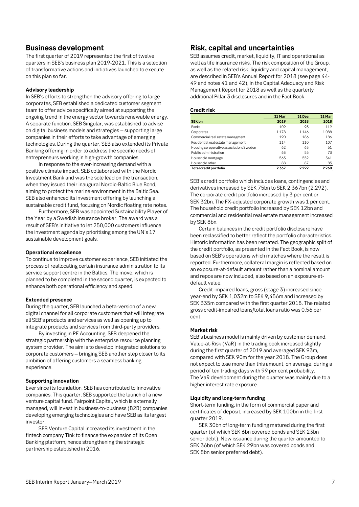## <span id="page-6-0"></span>**Business development**

The first quarter of 2019 represented the first of twelve quarters in SEB's business plan 2019-2021. This is a selection of transformative actions and initiatives launched to execute on this plan so far.

### **Advisory leadership**

In SEB's efforts to strengthen the advisory offering to large corporates, SEB established a dedicated customer segment team to offer advice specifically aimed at supporting the ongoing trend in the energy sector towards renewable energy. A separate function, SEB Singular, was established to advise on digital business models and strategies – supporting large companies in their efforts to take advantage of emerging technologies. During the quarter, SEB also extended its Private Banking offering in order to address the specific needs of entrepreneurs working in high-growth companies.

In response to the ever-increasing demand with a positive climate impact, SEB collaborated with the Nordic Investment Bank and was the sole lead on the transaction, when they issued their inaugural Nordic-Baltic Blue Bond, aiming to protect the marine environment in the Baltic Sea. SEB also enhanced its investment offering by launching a sustainable credit fund, focusing on Nordic floating rate notes.

Furthermore, SEB was appointed Sustainability Player of the Year by a Swedish insurance broker. The award was a result of SEB's initiative to let 250,000 customers influence the investment agenda by prioritising among the UN's 17 sustainable development goals.

### **Operational excellence**

To continue to improve customer experience, SEB initiated the process of reallocating certain insurance administration to its service support centre in the Baltics. The move, which is planned to be completed in the second quarter, is expected to enhance both operational efficiency and speed.

### **Extended presence**

During the quarter, SEB launched a beta-version of a new digital channel for all corporate customers that will integrate all SEB's products and services as well as opening up to integrate products and services from third-party providers.

By investing in PE Accounting, SEB deepened the strategic partnership with the enterprise resource planning system provider. The aim is to develop integrated solutions to corporate customers – bringing SEB another step closer to its ambition of offering customers a seamless banking experience.

### **Supporting innovation**

Ever since its foundation, SEB has contributed to innovative companies. This quarter, SEB supported the launch of a new venture capital fund. Fairpoint Capital, which is externally managed, will invest in business-to-business (B2B) companies developing emerging technologies and have SEB as its largest investor.

SEB Venture Capital increased its investment in the fintech company Tink to finance the expansion of its Open Banking platform, hence strengthening the strategic partnership established in 2016.

## <span id="page-6-1"></span>**Risk, capital and uncertainties**

SEB assumes credit, market, liquidity, IT and operational as well as life insurance risks. The risk composition of the Group, as well as the related risk, liquidity and capital management, are described in SEB's Annual Report for 2018 (see page 44- 49 and notes 41 and 42), in the Capital Adequacy and Risk Management Report for 2018 as well as the quarterly additional Pillar 3 disclosures and in the Fact Book.

#### **Credit risk**

|                                          | 31 Mar | 31 Dec | 31 Mar |
|------------------------------------------|--------|--------|--------|
| <b>SEK bn</b>                            | 2019   | 2018   | 2018   |
| <b>Banks</b>                             | 109    | 93     | 119    |
| Corporates                               | 1178   | 1146   | 1088   |
| Commercial real estate managment         | 190    | 186    | 186    |
| Residential real estate management       | 114    | 110    | 107    |
| Housing co-operative associations Sweden | 62     | 63     | 61     |
| Public administration                    | 63     | 55     | 73     |
| Household mortgage                       | 563    | 552    | 541    |
| Household other                          | 88     | 87     | 85     |
| Total credit portfolio                   | 2367   | 2292   | 2260   |

SEB's credit portfolio which includes loans, contingencies and derivatives increased by SEK 75bn to SEK 2,367bn (2,292). The corporate credit portfolio increased by 3 per cent or SEK 32bn. The FX-adjusted corporate growth was 1 per cent. The household credit portfolio increased by SEK 12bn and commercial and residential real estate management increased by SEK 8bn.

Certain balances in the credit portfolio disclosure have been reclassified to better reflect the portfolio characteristics. Historic information has been restated. The geographic split of the credit portfolio, as presented in the Fact Book, is now based on SEB's operations which matches where the result is reported. Furthermore, collateral margin is reflected based on an exposure-at-default amount rather than a nominal amount and repos are now included, also based on an exposure-atdefault value.

Credit-impaired loans, gross (stage 3) increased since year-end by SEK 1,032m to SEK 9,456m and increased by SEK 335m compared with the first quarter 2018. The related gross credit-impaired loans/total loans ratio was 0.56 per cent.

### **Market risk**

SEB's business model is mainly driven by customer demand. Value-at-Risk (VaR) in the trading book increased slightly during the first quarter of 2019 and averaged SEK 93m, compared with SEK 90m for the year 2018. The Group does not expect to lose more than this amount, on average, during a period of ten trading days with 99 per cent probability. The VaR development during the quarter was mainly due to a higher interest rate exposure.

### **Liquidity and long-term funding**

Short-term funding, in the form of commercial paper and certificates of deposit, increased by SEK 100bn in the first quarter 2019.

SEK 30bn of long-term funding matured during the first quarter (of which SEK 6bn covered bonds and SEK 23bn senior debt). New issuance during the quarter amounted to SEK 36bn (of which SEK 29bn was covered bonds and SEK 8bn senior preferred debt).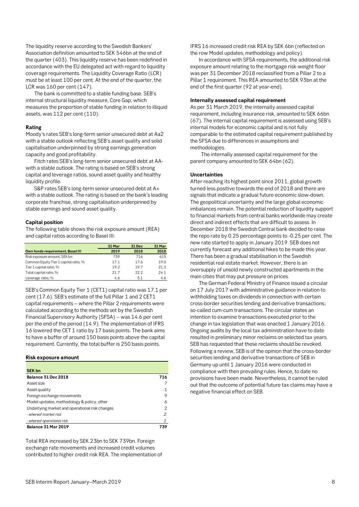The liquidity reserve according to the Swedish Bankers' Association definition amounted to SEK 546bn at the end of the quarter (403). This liquidity reserve has been redefined in accordance with the EU delegated act with regard to liquidity coverage requirements. The Liquidity Coverage Ratio (LCR) must be at least 100 per cent. At the end of the quarter, the LCR was 160 per cent (147).

The bank is committed to a stable funding base. SEB's internal structural liquidity measure, Core Gap, which measures the proportion of stable funding in relation to illiquid assets, was 112 per cent (110).

### **Rating**

Moody's rates SEB's long-term senior unsecured debt at Aa2 with a stable outlook reflecting SEB's asset quality and solid capitalisation underpinned by strong earnings generation capacity and good profitability.

Fitch rates SEB's long-term senior unsecured debt at AAwith a stable outlook. The rating is based on SEB's strong capital and leverage ratios, sound asset quality and healthy liquidity profile.

S&P rates SEB's long-term senior unsecured debt at A+ with a stable outlook. The rating is based on the bank's leading corporate franchise, strong capitalisation underpinned by stable earnings and sound asset quality.

### **Capital position**

The following table shows the risk exposure amount (REA) and capital ratios according to Basel III:

|                                       | 31 Mar | 31 Dec | 31 Mar |
|---------------------------------------|--------|--------|--------|
| Own funds requirement, Basel III      | 2019   | 2018   | 2018   |
| Risk exposure amount, SEK bn          | 739    | 716    | 615    |
| Common Equity Tier 1 capital ratio, % | 17.1   | 17.6   | 19.0   |
| Tier 1 capital ratio, %               | 19.2   | 19.7   | 21.3   |
| Total capital ratio, %                | 217    | 222    | 24.1   |
| Leverage ratio, %                     | 4.6    | 5.1    | 4.6    |

SEB's Common Equity Tier 1 (CET1) capital ratio was 17.1 per cent (17.6). SEB's estimate of the full Pillar 1 and 2 CET1 capital requirements – where the Pillar 2 requirements were calculated according to the methods set by the Swedish Financial Supervisory Authority (SFSA) – was 14.6 per cent per the end of the period (14.9). The implementation of IFRS 16 lowered the CET 1 ratio by 17 basis points. The bank aims to have a buffer of around 150 basis points above the capital requirement. Currently, the total buffer is 250 basis points.

#### **Risk exposure amount**

| <b>SEK bn</b>                                  |     |
|------------------------------------------------|-----|
| Balance 31 Dec 2018                            | 716 |
| Asset size                                     |     |
| Asset quality                                  | - 1 |
| Foreign exchange movements                     | 9   |
| Model updates, methodology & policy, other     | 6   |
| Underlying market and operational risk changes | 2   |
| - whereof market risk                          | 2   |
| - whereof operational risk                     |     |
| Balance 31 Mar 2019                            | 739 |

Total REA increased by SEK 23bn to SEK 739bn. Foreign exchange rate movements and increased credit volumes contributed to higher credit risk REA. The implementation of IFRS 16 increased credit risk REA by SEK 6bn (reflected on the row Model updates, methodology and policy).

In accordance with SFSA requirements, the additional risk exposure amount relating to the mortgage risk-weight floor was per 31 December 2018 reclassified from a Pillar 2 to a Pillar 1 requirement. This REA amounted to SEK 93bn at the end of the first quarter (92 at year-end).

#### **Internally assessed capital requirement**

As per 31 March 2019, the internally assessed capital requirement, including insurance risk, amounted to SEK 66bn (67). The internal capital requirement is assessed using SEB's internal models for economic capital and is not fully comparable to the estimated capital requirement published by the SFSA due to differences in assumptions and methodologies.

The internally assessed capital requirement for the parent company amounted to SEK 64bn (62).

#### **Uncertainties**

After reaching its highest point since 2011, global growth turned less positive towards the end of 2018 and there are signals that indicate a gradual future economic slow-down. The geopolitical uncertainty and the large global economic imbalances remain. The potential reduction of liquidity support to financial markets from central banks worldwide may create direct and indirect effects that are difficult to assess. In December 2018 the Swedish Central bank decided to raise the repo rate by 0.25 percentage points to -0.25 per cent. The new rate started to apply in January 2019. SEB does not currently forecast any additional hikes to be made this year. There has been a gradual stabilisation in the Swedish residential real estate market. However, there is an oversupply of unsold newly constructed apartments in the main cities that may put pressure on prices.

The German Federal Ministry of Finance issued a circular on 17 July 2017 with administrative guidance in relation to withholding taxes on dividends in connection with certain cross-border securities lending and derivative transactions; so-called cum-cum transactions. The circular states an intention to examine transactions executed prior to the change in tax legislation that was enacted 1 January 2016. Ongoing audits by the local tax administration have to date resulted in preliminary minor reclaims on selected tax years. SEB has requested that these reclaims should be revoked. Following a review, SEB is of the opinion that the cross-border securities lending and derivative transactions of SEB in Germany up until 1 January 2016 were conducted in compliance with then prevailing rules. Hence, to date no provisions have been made. Nevertheless, it cannot be ruled out that the outcome of potential future tax claims may have a negative financial effect on SEB.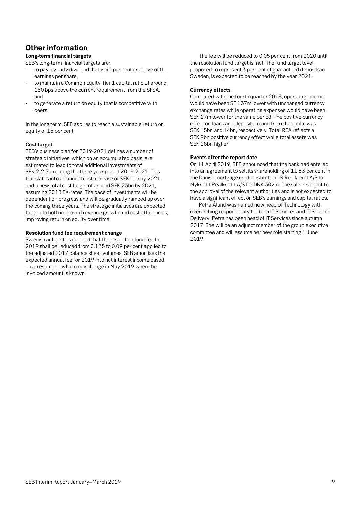# <span id="page-8-0"></span>**Other information**

### **Long-term financial targets**

SEB's long-term financial targets are:

- to pay a yearly dividend that is 40 per cent or above of the earnings per share,
- to maintain a Common Equity Tier 1 capital ratio of around 150 bps above the current requirement from the SFSA, and
- to generate a return on equity that is competitive with peers.

In the long term, SEB aspires to reach a sustainable return on equity of 15 per cent.

### **Cost target**

SEB's business plan for 2019-2021 defines a number of strategic initiatives, which on an accumulated basis, are estimated to lead to total additional investments of SEK 2-2.5bn during the three year period 2019-2021. This translates into an annual cost increase of SEK 1bn by 2021, and a new total cost target of around SEK 23bn by 2021, assuming 2018 FX-rates. The pace of investments will be dependent on progress and will be gradually ramped up over the coming three years. The strategic initiatives are expected to lead to both improved revenue growth and cost efficiencies, improving return on equity over time.

### **Resolution fund fee requirement change**

Swedish authorities decided that the resolution fund fee for 2019 shall be reduced from 0.125 to 0.09 per cent applied to the adjusted 2017 balance sheet volumes. SEB amortises the expected annual fee for 2019 into net interest income based on an estimate, which may change in May 2019 when the invoiced amount is known.

The fee will be reduced to 0.05 per cent from 2020 until the resolution fund target is met. The fund target level, proposed to represent 3 per cent of guaranteed deposits in Sweden, is expected to be reached by the year 2021.

### **Currency effects**

Compared with the fourth quarter 2018, operating income would have been SEK 37m lower with unchanged currency exchange rates while operating expenses would have been SEK 17m lower for the same period. The positive currency effect on loans and deposits to and from the public was SEK 15bn and 14bn, respectively. Total REA reflects a SEK 9bn positive currency effect while total assets was SEK 28bn higher.

### **Events after the report date**

On 11 April 2019, SEB announced that the bank had entered into an agreement to sell its shareholding of 11.63 per cent in the Danish mortgage credit institution LR Realkredit A/S to Nykredit Realkredit A/S for DKK 302m. The sale is subject to the approval of the relevant authorities and is not expected to have a significant effect on SEB's earnings and capital ratios.

Petra Ålund was named new head of Technology with overarching responsibility for both IT Services and IT Solution Delivery. Petra has been head of IT Services since autumn 2017. She will be an adjunct member of the group executive committee and will assume her new role starting 1 June 2019.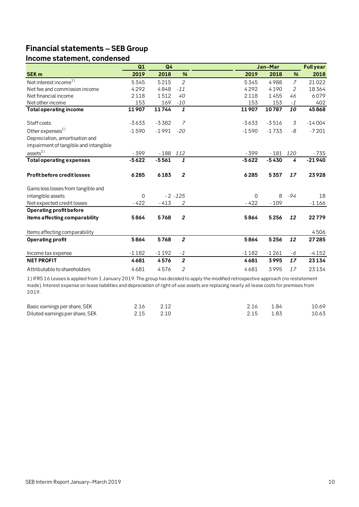# <span id="page-9-0"></span>**Financial statements – SEB Group**

# <span id="page-9-1"></span>**Income statement, condensed**

|                                       | Q1       | Q4      |                  |          | Jan-Mar |                 | <b>Full year</b> |
|---------------------------------------|----------|---------|------------------|----------|---------|-----------------|------------------|
| <b>SEK m</b>                          | 2019     | 2018    | %                | 2019     | 2018    | %               | 2018             |
| Net interest income $^{1)}$           | 5345     | 5215    | $\overline{2}$   | 5345     | 4988    | $\overline{7}$  | 21022            |
| Net fee and commission income         | 4292     | 4848    | $-11$            | 4292     | 4190    | 2               | 18364            |
| Net financial income                  | 2118     | 1512    | 40               | 2118     | 1455    | 46              | 6079             |
| Net other income                      | 153      | 169     | $-10$            | 153      | 153     | $-1$            | 402              |
| <b>Total operating income</b>         | 11907    | 11744   | $\mathbf{1}$     | 11907    | 10787   | $\overline{10}$ | 45868            |
| Staff costs                           | $-3633$  | $-3382$ | 7                | $-3633$  | $-3516$ | 3               | $-14004$         |
| Other expenses <sup>1)</sup>          | $-1590$  | $-1991$ | $-20$            | $-1590$  | $-1733$ | -8              | $-7201$          |
| Depreciation, amortisation and        |          |         |                  |          |         |                 |                  |
| impairment of tangible and intangible |          |         |                  |          |         |                 |                  |
| ases <sup>1</sup>                     | $-399$   | $-188$  | 112              | $-399$   | $-181$  | 120             | - 735            |
| <b>Total operating expenses</b>       | $-5622$  | $-5561$ | 1                | $-5622$  | $-5430$ | 4               | $-21940$         |
| <b>Profit before credit losses</b>    | 6285     | 6183    | $\boldsymbol{2}$ | 6285     | 5357    | 17              | 23928            |
| Gains less losses from tangible and   |          |         |                  |          |         |                 |                  |
| intangible assets                     | $\Omega$ |         | $-2 - 125$       | $\Omega$ | 8       | $-94$           | 18               |
| Net expected credit losses            | $-422$   | $-413$  | 2                | $-422$   | $-109$  |                 | $-1166$          |
| <b>Operating profit before</b>        |          |         |                  |          |         |                 |                  |
| items affecting comparability         | 5864     | 5768    | $\boldsymbol{2}$ | 5864     | 5256    | 12              | 22779            |
| Items affecting comparability         |          |         |                  |          |         |                 | 4506             |
| <b>Operating profit</b>               | 5864     | 5768    | $\overline{2}$   | 5864     | 5256    | 12              | 27 285           |
| Income tax expense                    | $-1182$  | $-1192$ | $-1$             | $-1182$  | $-1261$ | -6              | $-4152$          |
| <b>NET PROFIT</b>                     | 4681     | 4576    | $\overline{2}$   | 4681     | 3995    | 17              | 23134            |
| Attributable to shareholders          | 4681     | 4576    | 2                | 4681     | 3995    | 17              | 23134            |

1) IFRS 16 Leases is applied from 1 January 2019. The group has decided to apply the modified retrospective approach (no restatement made). Interest expense on lease liabilities and depreciation of right-of-use assets are replacing nearly all lease costs for premises from 2019.

| Basic earnings per share, SEK   | 2.16 | 2.16 | -184 | 10.69 |
|---------------------------------|------|------|------|-------|
| Diluted earnings per share, SEK | 2.15 |      | 1.83 | 10.63 |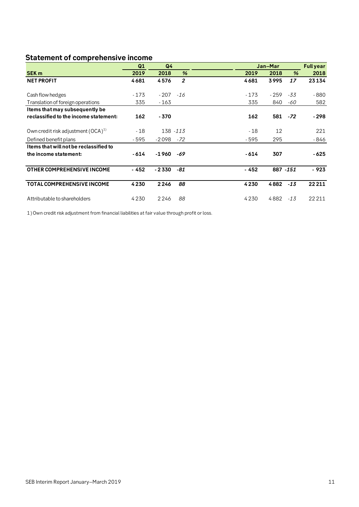# <span id="page-10-0"></span>**Statement of comprehensive income**

|                                         | Q1     | Q <sub>4</sub> |                |        | Jan-Mar   |       | <b>Full year</b> |
|-----------------------------------------|--------|----------------|----------------|--------|-----------|-------|------------------|
| <b>SEK m</b>                            | 2019   | 2018           | $\frac{9}{6}$  | 2019   | 2018      | %     | 2018             |
| <b>NET PROFIT</b>                       | 4681   | 4576           | $\overline{2}$ | 4681   | 3995      | 17    | 23134            |
| Cash flow hedges                        | $-173$ | - 207          | $-16$          | $-173$ | $-259$    | -33   | $-880$           |
| Translation of foreign operations       | 335    | - 163          |                | 335    | 840       | -60   | 582              |
| Items that may subsequently be          |        |                |                |        |           |       |                  |
| reclassified to the income statement:   | 162    | $-370$         |                | 162    | 581       | $-72$ | $-298$           |
| Own credit risk adjustment $(OCA)^{1}$  | $-18$  |                | 138 - 113      | $-18$  | 12        |       | 221              |
| Defined benefit plans                   | - 595  | $-2098$        | -72            | - 595  | 295       |       | - 846            |
| I tems that will not be reclassified to |        |                |                |        |           |       |                  |
| the income statement:                   | $-614$ | -1 960         | -69            | - 614  | 307       |       | - 625            |
| OTHER COMPREHENSIVE INCOME              | - 452  | - 2 3 3 0      | -81            | - 452  | 887 - 151 |       | $-923$           |
| <b>TOTAL COMPREHENSIVE INCOME</b>       | 4230   | 2246           | 88             | 4230   | 4882      | $-13$ | 22211            |
| Attributable to shareholders            | 4230   | 2246           | 88             | 4230   | 4882      | $-13$ | 22 2 1 1         |

1) Own credit risk adjustment from financial liabilities at fair value through profit or loss.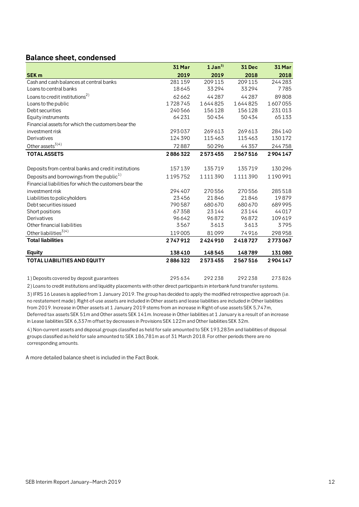## <span id="page-11-0"></span>**Balance sheet, condensed**

|                                                        | 31 Mar  | $1$ Jan <sup>3)</sup> | <b>31 Dec</b> | 31 Mar  |
|--------------------------------------------------------|---------|-----------------------|---------------|---------|
| <b>SEK m</b>                                           | 2019    | 2019                  | 2018          | 2018    |
| Cash and cash balances at central banks                | 281159  | 209 115               | 209115        | 244 283 |
| Loans to central banks                                 | 18645   | 33294                 | 33294         | 7785    |
| Loans to credit institutions <sup>2)</sup>             | 62662   | 44 2 8 7              | 44 28 7       | 89808   |
| Loans to the public                                    | 1728745 | 1644825               | 1644825       | 1607055 |
| Debt securities                                        | 240566  | 156128                | 156128        | 231013  |
| Equity instruments                                     | 64231   | 50434                 | 50434         | 65133   |
| Financial assets for which the customers bear the      |         |                       |               |         |
| investment risk                                        | 293037  | 269613                | 269613        | 284140  |
| Derivatives                                            | 124 390 | 115463                | 115463        | 130172  |
| Other assets $^{3(4)}$                                 | 72887   | 50296                 | 44357         | 244758  |
| <b>TOTAL ASSETS</b>                                    | 2886322 | 2573455               | 2567516       | 2904147 |
|                                                        |         |                       |               |         |
| Deposits from central banks and credit institutions    | 157139  | 135719                | 135719        | 130296  |
| Deposits and borrowings from the public <sup>1)</sup>  | 1195752 | 1111390               | 1111390       | 1190991 |
| Financial liabilities for which the customers bear the |         |                       |               |         |
| investment risk                                        | 294407  | 270556                | 270556        | 285518  |
| Liabilities to policyholders                           | 23456   | 21846                 | 21846         | 19879   |
| Debt securities issued                                 | 790587  | 680 670               | 680 670       | 689995  |
| Short positions                                        | 67358   | 23144                 | 23144         | 44017   |
| Derivatives                                            | 96642   | 96872                 | 96872         | 109619  |
| Other financial liabilities                            | 3567    | 3613                  | 3613          | 3795    |
| Other liabilities <sup>3)4)</sup>                      | 119005  | 81099                 | 74916         | 298958  |
| <b>Total liabilities</b>                               | 2747912 | 2424910               | 2418727       | 2773067 |
| <b>Equity</b>                                          | 138410  | 148545                | 148789        | 131080  |
| <b>TOTAL LIABILITIES AND EQUITY</b>                    | 2886322 | 2573455               | 2567516       | 2904147 |
|                                                        | 295634  | 292238                | 292238        | 273826  |
| 1) Deposits covered by deposit guarantees              |         |                       |               |         |

2) Loans to credit institutions and liquidity placements with other direct participants in interbank fund transfer systems.

3) IFRS 16 Leases is applied from 1 January 2019. The group has decided to apply the modified retrospective approach (i.e. no restatement made). Right-of-use assets are included in Other assets and lease liabilities are included in Other liabilities from 2019. Increase in Other assets at 1 January 2019 stems from an increase in Right-of-use assets SEK 5,747m, Deferred tax assets SEK 51m and Other assets SEK 141m. Increase in Other liabilities at 1 January is a result of an increase in Lease liabilities SEK 6,337m offset by decreases in Provisions SEK 122m and Other liabilities SEK 32m.

4) Non-current assets and disposal groups classified as held for sale amounted to SEK 193,283m and liabilities of disposal groups classified as held for sale amounted to SEK 186,781m as of 31 March 2018. For other periods there are no corresponding amounts.

A more detailed balance sheet is included in the Fact Book.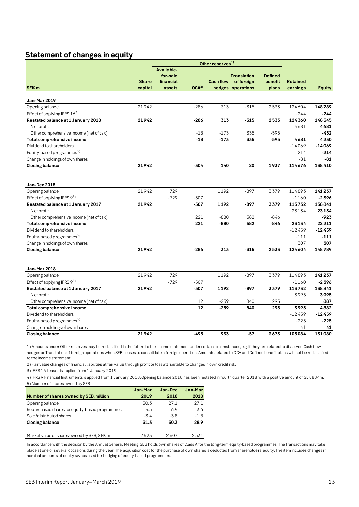# <span id="page-12-0"></span>**Statement of changes in equity**

|                                                                                                                                                                        |              |            |                  | Other reserves <sup>1)</sup> |                    |                |                 |               |
|------------------------------------------------------------------------------------------------------------------------------------------------------------------------|--------------|------------|------------------|------------------------------|--------------------|----------------|-----------------|---------------|
|                                                                                                                                                                        |              | Available- |                  |                              |                    |                |                 |               |
|                                                                                                                                                                        |              | for-sale   |                  |                              | <b>Translation</b> | <b>Defined</b> |                 |               |
|                                                                                                                                                                        | <b>Share</b> | financial  |                  | <b>Cash flow</b>             | of foreign         | benefit        | <b>Retained</b> |               |
| <b>SEK m</b>                                                                                                                                                           | capital      | assets     | OCA <sup>2</sup> |                              | hedges operations  | plans          | earnings        | <b>Equity</b> |
| Jan-Mar 2019                                                                                                                                                           |              |            |                  |                              |                    |                |                 |               |
| Opening balance                                                                                                                                                        | 21942        |            | $-286$           | 313                          | $-315$             | 2533           | 124604          | 148789        |
| Effect of applying IFRS 163)                                                                                                                                           |              |            |                  |                              |                    |                | $-244$          | -244          |
| Restated balance at 1 January 2018                                                                                                                                     | 21942        |            | $-286$           | 313                          | $-315$             | 2533           | 124 360         | 148545        |
| Net profit                                                                                                                                                             |              |            |                  |                              |                    |                | 4681            | 4681          |
| Other comprehensive income (net of tax)                                                                                                                                |              |            | $-18$            | $-173$                       | 335                | -595           |                 | -452          |
| Total comprehensive income                                                                                                                                             |              |            | $-18$            | $-173$                       | 335                | -595           | 4681            | 4230          |
| Dividend to shareholders                                                                                                                                               |              |            |                  |                              |                    |                | $-14069$        | $-14069$      |
| Equity-based programmes <sup>5)</sup>                                                                                                                                  |              |            |                  |                              |                    |                | $-214$          | $-214$        |
| Change in holdings of own shares                                                                                                                                       |              |            |                  |                              |                    |                | -81             | -81           |
| <b>Closing balance</b>                                                                                                                                                 | 21942        |            | $-304$           | 140                          | 20                 | 1937           | 114676          | 138410        |
| Jan-Dec 2018                                                                                                                                                           |              |            |                  |                              |                    |                |                 |               |
| Opening balance                                                                                                                                                        | 21942        | 729        |                  | 1192                         | $-897$             | 3379           | 114893          | 141237        |
| Effect of applying IFRS 94)                                                                                                                                            |              | $-729$     | $-507$           |                              |                    |                | $-1160$         | $-2396$       |
| Restated balance at 1 January 2017                                                                                                                                     | 21942        |            | $-507$           | 1192                         | -897               | 3379           | 113732          | 138841        |
| Net profit                                                                                                                                                             |              |            |                  |                              |                    |                | 23134           | 23134         |
| Other comprehensive income (net of tax)                                                                                                                                |              |            | 221              | $-880$                       | 582                | $-846$         |                 | -923          |
| Total comprehensive income                                                                                                                                             |              |            | 221              | $-880$                       | 582                | -846           | 23134           | 22211         |
| Dividend to shareholders                                                                                                                                               |              |            |                  |                              |                    |                | $-12459$        | $-12459$      |
| Equity-based programmes <sup>5)</sup>                                                                                                                                  |              |            |                  |                              |                    |                | $-111$          | $-111$        |
| Change in holdings of own shares                                                                                                                                       |              |            |                  |                              |                    |                | 307             | 307           |
| <b>Closing balance</b>                                                                                                                                                 | 21942        |            | $-286$           | 313                          | $-315$             | 2533           | 124604          | 148789        |
|                                                                                                                                                                        |              |            |                  |                              |                    |                |                 |               |
| Jan-Mar 2018                                                                                                                                                           |              |            |                  |                              |                    |                |                 |               |
| Opening balance                                                                                                                                                        | 21942        | 729        |                  | 1192                         | $-897$             | 3379           | 114893          | 141237        |
| Effect of applying IFRS 94)                                                                                                                                            |              | $-729$     | $-507$           |                              |                    |                | $-1160$         | -2396         |
| Restated balance at 1 January 2017                                                                                                                                     | 21942        |            | $-507$           | 1192                         | $-897$             | 3379           | 113732          | 138841        |
| Net profit                                                                                                                                                             |              |            |                  |                              |                    |                | 3995            | 3995          |
| Other comprehensive income (net of tax)                                                                                                                                |              |            | 12               | -259                         | 840                | 295            |                 | 887           |
| Total comprehensive income                                                                                                                                             |              |            | 12               | $-259$                       | 840                | 295            | 3995            | 4882          |
| Dividend to shareholders                                                                                                                                               |              |            |                  |                              |                    |                | $-12459$        | $-12459$      |
| Equity-based programmes <sup>5)</sup>                                                                                                                                  |              |            |                  |                              |                    |                | $-225$          | $-225$        |
| Change in holdings of own shares                                                                                                                                       |              |            |                  |                              |                    |                | 41              | 41            |
| <b>Closing balance</b>                                                                                                                                                 | 21942        |            | $-495$           | 933                          | $-57$              | 3673           | 105084          | 131080        |
| 1) Amounts under Other reserves may be reclassified in the future to the income statement under certain circumstances, e.g. if they are related to dissolved Cash flow |              |            |                  |                              |                    |                |                 |               |

hedges or Translation of foreign operations when SEB ceases to consolidate a foreign operation. Amounts related to OCA and Defined benefit plans will not be reclassified to the income statement.

2) Fair value changes of financial liabilities at fair value through profit or loss attributable to changes in own credit risk.

3) IFRS 16 Leases is applied from 1 January 2019.

5) Number of shares owned by SEB: 4) IFRS 9 Financial Instruments is applied from 1 January 2018. Opening balance 2018 has been restated in fourth quarter 2018 with a positive amount of SEK 884m.

|                                                | Jan-Mar | Jan-Dec | Jan-Mar |
|------------------------------------------------|---------|---------|---------|
| Number of shares owned by SEB, million         | 2019    | 2018    | 2018    |
| Opening balance                                | 30.3    | 271     | 27.1    |
| Repurchased shares for equity-based programmes | 4.5     | 6.9     | 3.6     |
| Sold/distributed shares                        | $-3.4$  | $-3.8$  | $-1.8$  |
| <b>Closing balance</b>                         | 31.3    | 30.3    | 28.9    |
| Market value of shares owned by SEB, SEK m     | 2523    | 2607    | 2531    |

In accordance with the decision by the Annual General Meeting, SEB holds own shares of Class A for the long-term equity-based programmes. The transactions may take place at one or several occasions during the year. The acquisition cost for the purchase of own shares is deducted from shareholders' equity. The item includes changes in nominal amounts of equity swaps used for hedging of equity-based programmes.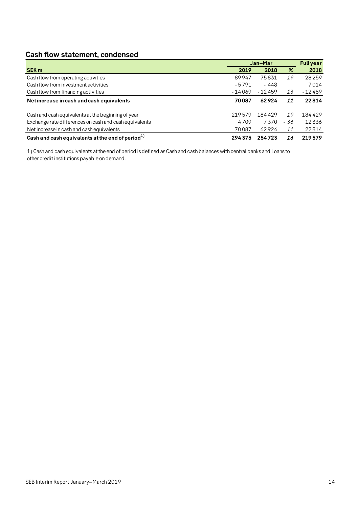# <span id="page-13-0"></span>**Cash flow statement, condensed**

|                                                        | Jan-Mar  |          |      | <b>Full year</b> |
|--------------------------------------------------------|----------|----------|------|------------------|
| <b>SEK m</b>                                           | 2019     | 2018     | %    | 2018             |
| Cash flow from operating activities                    | 89947    | 75831    | 19   | 28259            |
| Cash flow from investment activities                   | $-5791$  | - 448    |      | 7014             |
| Cash flow from financing activities                    | $-14069$ | $-12459$ | 13   | $-12459$         |
| Net increase in cash and cash equivalents              | 70087    | 62924    | 11   | 22814            |
| Cash and cash equivalents at the beginning of year     | 219579   | 184429   | 19   | 184429           |
| Exchange rate differences on cash and cash equivalents | 4709     | 7370     | - 36 | 12336            |
| Net increase in cash and cash equivalents              | 70087    | 62924    | 11   | 22814            |
| Cash and cash equivalents at the end of period $^{1)}$ | 294375   | 254723   | 16   | 219579           |

1) Cash and cash equivalents at the end of period is defined as Cash and cash balances with central banks and Loans to other credit institutions payable on demand.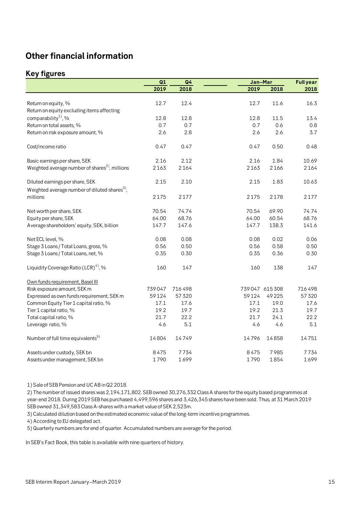# <span id="page-14-0"></span>**Other financial information**

# <span id="page-14-1"></span>**Key figures**

|                                                           | Q1     | Q <sub>4</sub> |       | Jan-Mar       |        |
|-----------------------------------------------------------|--------|----------------|-------|---------------|--------|
|                                                           | 2019   | 2018           | 2019  | 2018          | 2018   |
|                                                           |        |                |       |               |        |
| Return on equity, %                                       | 12.7   | 12.4           | 12.7  | 11.6          | 16.3   |
| Return on equity excluding items affecting                |        |                |       |               |        |
| comparability <sup>1</sup> , %                            | 12.8   | 12.8           | 12.8  | 11.5          | 13.4   |
| Return on total assets, %                                 | 0.7    | 0.7            | 0.7   | 0.6           | 0.8    |
| Return on risk exposure amount, %                         | 2.6    | 2.8            | 2.6   | 2.6           | 3.7    |
| Cost/income ratio                                         | 0.47   | 0.47           | 0.47  | 0.50          | 0.48   |
| Basic earnings per share, SEK                             | 2.16   | 2.12           | 2.16  | 1.84          | 10.69  |
| Weighted average number of shares <sup>2</sup> , millions | 2163   | 2164           | 2163  | 2166          | 2164   |
| Diluted earnings per share, SEK                           | 2.15   | 2.10           | 2.15  | 1.83          | 10.63  |
| Weighted average number of diluted shares <sup>3</sup> ,  |        |                |       |               |        |
| millions                                                  | 2175   | 2177           | 2175  | 2178          | 2177   |
| Net worth per share, SEK                                  | 70.54  | 74.74          | 70.54 | 69.90         | 74.74  |
| Equity per share, SEK                                     | 64.00  | 68.76          | 64.00 | 60.54         | 68.76  |
| Average shareholders' equity, SEK, billion                | 147.7  | 147.6          | 147.7 | 138.3         | 141.6  |
| Net ECL level, %                                          | 0.08   | 0.08           | 0.08  | 0.02          | 0.06   |
| Stage 3 Loans / Total Loans, gross, %                     | 0.56   | 0.50           | 0.56  | 0.58          | 0.50   |
| Stage 3 Loans / Total Loans, net, %                       | 0.35   | 0.30           | 0.35  | 0.36          | 0.30   |
| Liquidity Coverage Ratio (LCR) <sup>4)</sup> , %          | 160    | 147            | 160   | 138           | 147    |
| Own funds requirement, Basel III                          |        |                |       |               |        |
| Risk exposure amount, SEK m                               | 739047 | 716498         |       | 739047 615308 | 716498 |
| Expressed as own funds requirement, SEK m                 | 59124  | 57320          | 59124 | 49225         | 57320  |
| Common Equity Tier 1 capital ratio, %                     | 17.1   | 17.6           | 17.1  | 19.0          | 17.6   |
| Tier 1 capital ratio, %                                   | 19.2   | 19.7           | 19.2  | 21.3          | 19.7   |
| Total capital ratio, %                                    | 21.7   | 22.2           | 21.7  | 24.1          | 22.2   |
| Leverage ratio, %                                         | 4.6    | 5.1            | 4.6   | 4.6           | 5.1    |
| Number of full time equivalents <sup>5)</sup>             | 14804  | 14749          | 14796 | 14858         | 14751  |
| Assets under custody, SEK bn                              | 8475   | 7734           | 8475  | 7985          | 7734   |
| Assets under management, SEK bn                           | 1790   | 1699           | 1790  | 1854          | 1699   |

1) Sale of SEB Pension and UC AB in Q2 2018.

2) The number of issued shares was 2,194,171,802. SEB owned 30,276,332 Class A shares for the equity based programmes at year-end 2018. During 2019 SEB has purchased 4,499,596 shares and 3,426,345 shares have been sold. Thus, at 31 March 2019 SEB owned 31,349,583 Class A-shares with a market value of SEK 2,523m.

3) Calculated dilution based on the estimated economic value of the long-term incentive programmes.

4) According to EU delegated act.

5) Quarterly numbers are for end of quarter. Accumulated numbers are average for the period.

In SEB's Fact Book, this table is available with nine quarters of history.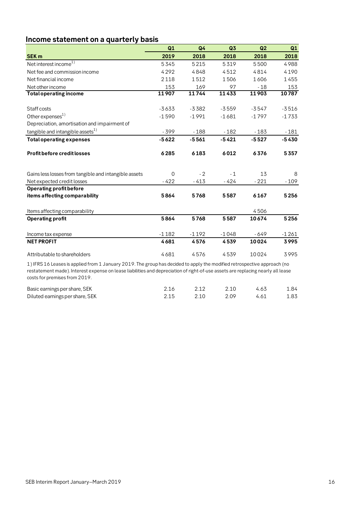# <span id="page-15-0"></span>**Income statement on a quarterly basis**

|                                                                                                                          | Q1          | Q4      | Q <sub>3</sub> | Q2      | Q1      |
|--------------------------------------------------------------------------------------------------------------------------|-------------|---------|----------------|---------|---------|
| <b>SEK m</b>                                                                                                             | 2019        | 2018    | 2018           | 2018    | 2018    |
| Net interest income <sup>1)</sup>                                                                                        | 5345        | 5215    | 5319           | 5500    | 4988    |
| Net fee and commission income                                                                                            | 4292        | 4848    | 4512           | 4814    | 4190    |
| Net financial income                                                                                                     | 2118        | 1512    | 1506           | 1606    | 1455    |
| Net other income                                                                                                         | 153         | 169     | 97             | $-18$   | 153     |
| <b>Total operating income</b>                                                                                            | 11907       | 11744   | 11433          | 11903   | 10787   |
| Staff costs                                                                                                              | $-3633$     | $-3382$ | $-3559$        | $-3547$ | $-3516$ |
| Other expenses <sup>1)</sup>                                                                                             | $-1590$     | $-1991$ | $-1681$        | $-1797$ | $-1733$ |
| Depreciation, amortisation and impairment of                                                                             |             |         |                |         |         |
| tangible and intangible assets <sup>1)</sup>                                                                             | $-399$      | $-188$  | $-182$         | $-183$  | $-181$  |
| <b>Total operating expenses</b>                                                                                          | $-5622$     | $-5561$ | $-5421$        | $-5527$ | -5430   |
| <b>Profit before credit losses</b>                                                                                       | 6285        | 6183    | 6012           | 6376    | 5357    |
| Gains less losses from tangible and intangible assets                                                                    | $\mathbf 0$ | $-2$    | $-1$           | 13      | 8       |
| Net expected credit losses                                                                                               | $-422$      | $-413$  | $-424$         | $-221$  | $-109$  |
| Operating profit before                                                                                                  |             |         |                |         |         |
| items affecting comparability                                                                                            | 5864        | 5768    | 5587           | 6167    | 5256    |
| Items affecting comparability                                                                                            |             |         |                | 4506    |         |
| <b>Operating profit</b>                                                                                                  | 5864        | 5768    | 5587           | 10674   | 5256    |
| Income tax expense                                                                                                       | $-1182$     | $-1192$ | $-1048$        | - 649   | $-1261$ |
| <b>NET PROFIT</b>                                                                                                        | 4681        | 4576    | 4539           | 10024   | 3995    |
| Attributable to shareholders                                                                                             | 4681        | 4576    | 4539           | 10024   | 3995    |
| 1) IFRS 16 Leases is applied from 1 January 2019. The group has decided to apply the modified retrospective approach (no |             |         |                |         |         |

1) IFRS 16 Leases is applied from 1 January 2019. The group has decided to apply the modified retrospective approach (no restatement made). Interest expense on lease liabilities and depreciation of right-of-use assets are replacing nearly all lease costs for premises from 2019.

| Basic earnings per share, SEK   | 2.12 | 2.10 | 4.63 | 1.84 |
|---------------------------------|------|------|------|------|
| Diluted earnings per share, SEK | 2.10 | 2 09 | 4.61 | 1.83 |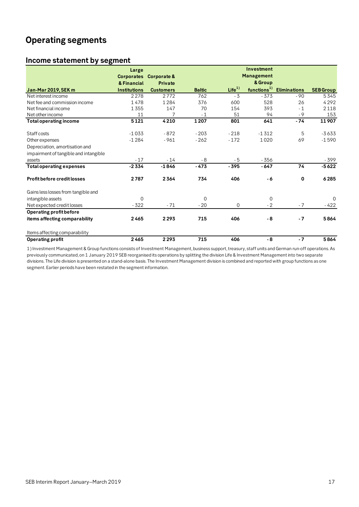# <span id="page-16-0"></span>**Operating segments**

# <span id="page-16-1"></span>**Income statement by segment**

|                                       | Large               |                  |               |                   | Investment              |                     |                  |
|---------------------------------------|---------------------|------------------|---------------|-------------------|-------------------------|---------------------|------------------|
|                                       | <b>Corporates</b>   | Corporate &      |               |                   | Management              |                     |                  |
|                                       | & Financial         | <b>Private</b>   |               |                   | & Group                 |                     |                  |
| <b>Jan-Mar 2019, SEK m</b>            | <b>Institutions</b> | <b>Customers</b> | <b>Baltic</b> | Life <sup>1</sup> | functions <sup>1)</sup> | <b>Eliminations</b> | <b>SEB Group</b> |
| Net interest income                   | 2278                | 2772             | 762           | $-3$              | $-373$                  | $-90$               | 5345             |
| Net fee and commission income         | 1478                | 1284             | 376           | 600               | 528                     | 26                  | 4292             |
| Net financial income                  | 1355                | 147              | 70            | 154               | 393                     | $-1$                | 2118             |
| Net other income                      | 11                  | 7                | $-1$          | 51                | 94                      | $-9$                | 153              |
| <b>Total operating income</b>         | 5121                | 4210             | 1207          | 801               | 641                     | $-74$               | 11907            |
| Staff costs                           | $-1033$             | $-872$           | $-203$        | $-218$            | $-1312$                 | 5                   | $-3633$          |
| Other expenses                        | $-1284$             | $-961$           | $-262$        | $-172$            | 1020                    | 69                  | $-1590$          |
| Depreciation, amortisation and        |                     |                  |               |                   |                         |                     |                  |
| impairment of tangible and intangible |                     |                  |               |                   |                         |                     |                  |
| assets                                | $-17$               | $-14$            | $-8$          | $-5$              | $-356$                  |                     | $-399$           |
| <b>Total operating expenses</b>       | $-2334$             | $-1846$          | $-473$        | $-395$            | $-647$                  | 74                  | $-5622$          |
| <b>Profit before credit losses</b>    | 2787                | 2364             | 734           | 406               | - 6                     | 0                   | 6285             |
| Gains less losses from tangible and   |                     |                  |               |                   |                         |                     |                  |
| intangible assets                     | $\Omega$            |                  | $\Omega$      |                   | $\mathbf 0$             |                     | $\Omega$         |
| Net expected credit losses            | $-322$              | $-71$            | $-20$         | $\mathbf 0$       | $-2$                    | $-7$                | - 422            |
| Operating profit before               |                     |                  |               |                   |                         |                     |                  |
| items affecting comparability         | 2465                | 2293             | 715           | 406               | - 8                     | $-7$                | 5864             |
| Items affecting comparability         |                     |                  |               |                   |                         |                     |                  |
| <b>Operating profit</b>               | 2465                | 2293             | 715           | 406               | - 8                     | $-7$                | 5864             |

1) Investment Management & Group functions consists of Investment Management, business support, treasury, staff units and German run-off operations. As previously communicated, on 1 January 2019 SEB reorganised its operations by splitting the division Life & Investment Management into two separate divisions. The Life division is presented on a stand-alone basis. The Investment Management division is combined and reported with group functions as one segment. Earlier periods have been restated in the segment information.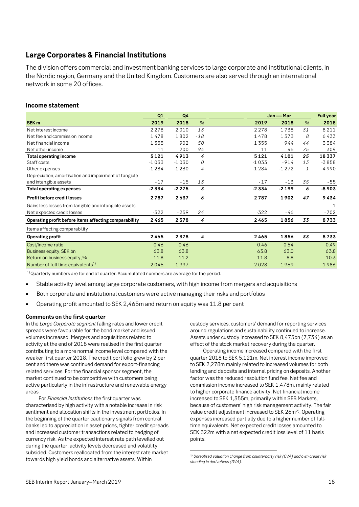# <span id="page-17-0"></span>**Large Corporates & Financial Institutions**

The division offers commercial and investment banking services to large corporate and institutional clients, in the Nordic region, Germany and the United Kingdom. Customers are also served through an international network in some 20 offices.

### **Income statement**

|                                                       | Q1      | Q <sub>4</sub> |               | Jan - Mar |         | <b>Full year</b> |         |
|-------------------------------------------------------|---------|----------------|---------------|-----------|---------|------------------|---------|
| SEK <sub>m</sub>                                      | 2019    | 2018           | $\frac{9}{6}$ | 2019      | 2018    | $\%$             | 2018    |
| Net interest income                                   | 2 2 7 8 | 2010           | 13            | 2278      | 1738    | 31               | 8211    |
| Net fee and commission income                         | 1478    | 1802           | $-18$         | 1478      | 1373    | 8                | 6433    |
| Net financial income                                  | 1355    | 902            | 50            | 1355      | 944     | 44               | 3384    |
| Net other income                                      | 11      | 200            | $-94$         | 11        | 46      | $-75$            | 309     |
| <b>Total operating income</b>                         | 5121    | 4913           | 4             | 5121      | 4101    | 25               | 18337   |
| Staff costs                                           | $-1033$ | $-1030$        | 0             | $-1033$   | $-914$  | 13               | $-3858$ |
| Other expenses                                        | $-1284$ | $-1230$        | 4             | $-1284$   | $-1272$ | $\mathbf{1}$     | -4990   |
| Depreciation, amortisation and impairment of tangible |         |                |               |           |         |                  |         |
| and intangible assets                                 | $-17$   | $-15$          | 13            | $-17$     | $-13$   | 35               | $-55$   |
| <b>Total operating expenses</b>                       | -2334   | $-2275$        | 3             | $-2334$   | $-2199$ | 6                | $-8903$ |
| <b>Profit before credit losses</b>                    | 2787    | 2637           | 6             | 2787      | 1902    | 47               | 9434    |
| Gains less losses from tangible and intangible assets |         |                |               |           |         |                  |         |
| Net expected credit losses                            | $-322$  | $-259$         | 24            | $-322$    | -46     |                  | $-702$  |
| Operating profit before items affecting comparability | 2465    | 2378           | 4             | 2465      | 1856    | 33               | 8733    |
| Items affecting comparability                         |         |                |               |           |         |                  |         |
| <b>Operating profit</b>                               | 2465    | 2378           | 4             | 2465      | 1856    | 33               | 8733    |
| Cost/Income ratio                                     | 0.46    | 0.46           |               | 0.46      | 0.54    |                  | 0.49    |
| Business equity, SEK bn                               | 63.8    | 63.8           |               | 63.8      | 63.0    |                  | 63.8    |
| Return on business equity, %                          | 11.8    | 11.2           |               | 11.8      | 8.8     |                  | 10.3    |
| Number of full time equivalents <sup>1)</sup>         | 2045    | 1997           |               | 2028      | 1969    |                  | 1986    |

1

 $1)$ Quarterly numbers are for end of quarter. Accumulated numbers are average for the period.

- Stable activity level among large corporate customers, with high income from mergers and acquisitions
- Both corporate and institutional customers were active managing their risks and portfolios
- Operating profit amounted to SEK 2,465m and return on equity was 11.8 per cent

### **Comments on the first quarter**

In the *Large Corporate segment* falling rates and lower credit spreads were favourable for the bond market and issued volumes increased. Mergers and acquisitions related to activity at the end of 2018 were realised in the first quarter contributing to a more normal income level compared with the weaker first quarter 2018. The credit portfolio grew by 2 per cent and there was continued demand for export-financing related services. For the financial sponsor segment, the market continued to be competitive with customers being active particularly in the infrastructure and renewable energy areas.

<span id="page-17-1"></span>For *Financial Institutions* the first quarter was characterised by high activity with a notable increase in risk sentiment and allocation shifts in the investment portfolios. In the beginning of the quarter cautionary signals from central banks led to appreciation in asset prices, tighter credit spreads and increased customer transactions related to hedging of currency risk. As the expected interest rate path levelled out during the quarter, activity levels decreased and volatility subsided. Customers reallocated from the interest rate market towards high yield bonds and alternative assets. Within

custody services, customers' demand for reporting services around regulations and sustainability continued to increase. Assets under custody increased to SEK 8,475bn (7,734) as an effect of the stock market recovery during the quarter.

Operating income increased compared with the first quarter 2018 to SEK 5,121m. Net interest income improved to SEK 2,278m mainly related to increased volumes for both lending and deposits and internal pricing on deposits. Another factor was the reduced resolution fund fee. Net fee and commission income increased to SEK 1,478m, mainly related to higher corporate finance activity. Net financial income increased to SEK 1,355m, primarily within SEB Markets, because of customers' high risk management activity. The fair value credit adjustment increased to SEK [2](#page-17-1)6m<sup>2)</sup>. Operating expenses increased partially due to a higher number of fulltime equivalents. Net expected credit losses amounted to SEK 322m with a net expected credit loss level of 11 basis points.

*<sup>2)</sup> Unrealised valuation change from counterparty risk (CVA) and own credit risk standing in derivatives (DVA).*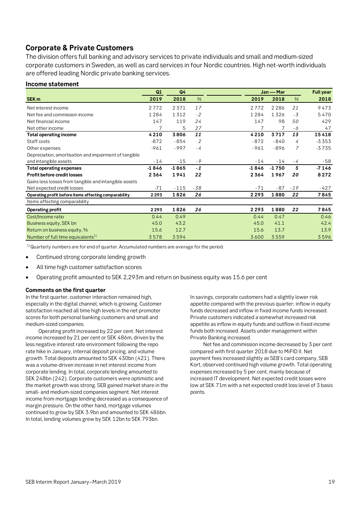# <span id="page-18-0"></span>**Corporate & Private Customers**

The division offers full banking and advisory services to private individuals and small and medium-sized corporate customers in Sweden, as well as card services in four Nordic countries. High net-worth individuals are offered leading Nordic private banking services.

### **Income statement**

|                                                       | Q1      | Q <sub>4</sub> |       |                | Jan - Mar      |       |         |
|-------------------------------------------------------|---------|----------------|-------|----------------|----------------|-------|---------|
| SEK <sub>m</sub>                                      | 2019    | 2018           | $\%$  | 2019           | 2018           | %     | 2018    |
| Net interest income                                   | 2772    | 2371           | 17    | 2772           | 2286           | 21    | 9473    |
| Net fee and commission income                         | 1284    | 1312           | $-2$  | 1284           | 1326           | $-3$  | 5470    |
| Net financial income                                  | 147     | 119            | 24    | 147            | 98             | 50    | 429     |
| Net other income                                      | 7       | 5              | 27    |                | 7              | - 6   | 47      |
| <b>Total operating income</b>                         | 4210    | 3806           | 11    | 4210           | 3717           | 13    | 15418   |
| Staff costs                                           | $-872$  | $-854$         | 2     | $-872$         | $-840$         | 4     | $-3353$ |
| Other expenses                                        | $-961$  | $-997$         | $-4$  | $-961$         | $-896$         | 7     | $-3735$ |
| Depreciation, amortisation and impairment of tangible |         |                |       |                |                |       |         |
| and intangible assets                                 | $-14$   | $-15$          | $-9$  | $-14$          | $-14$          | - 4   | - 58    |
| <b>Total operating expenses</b>                       | $-1846$ | $-1865$        | $-1$  | $-1846$        | $-1750$        | 5     | $-7146$ |
| <b>Profit before credit losses</b>                    | 2364    | 1941           | 22    | 2364           | 1967           | 20    | 8272    |
| Gains less losses from tangible and intangible assets |         |                |       | $\overline{0}$ | $\overline{0}$ |       |         |
| Net expected credit losses                            | $-71$   | $-115$         | $-38$ | $-71$          | $-87$          | $-19$ | -427    |
| Operating profit before items affecting comparability | 2293    | 1826           | 26    | 2293           | 1880           | 22    | 7845    |
| Items affecting comparability                         |         |                |       |                |                |       |         |
| <b>Operating profit</b>                               | 2293    | 1826           | 26    | 2293           | 1880           | 22    | 7845    |
| Cost/Income ratio                                     | 0.44    | 0.49           |       | 0.44           | 0.47           |       | 0.46    |
| Business equity, SEK bn                               | 45.0    | 43.2           |       | 45.0           | 41.1           |       | 42.4    |
| Return on business equity, %                          | 15.6    | 12.7           |       | 15.6           | 13.7           |       | 13.9    |
| Number of full time equivalents <sup>1)</sup>         | 3578    | 3594           |       | 3600           | 3559           |       | 3596    |

 $1)$ Quarterly numbers are for end of quarter. Accumulated numbers are average for the period.

- Continued strong corporate lending growth
- All time high customer satisfaction scores
- Operating profit amounted to SEK 2,293m and return on business equity was 15.6 per cent

### **Comments on the first quarter**

In the first quarter, customer interaction remained high, especially in the digital channel, which is growing. Customer satisfaction reached all time high levels in the net promoter scores for both personal banking customers and small and medium-sized companies.

Operating profit increased by 22 per cent. Net interest income increased by 21 per cent or SEK 486m, driven by the less negative interest rate environment following the repo rate hike in January, internal deposit pricing, and volume growth. Total deposits amounted to SEK 430bn (421). There was a volume-driven increase in net interest income from corporate lending. In total, corporate lending amounted to SEK 248bn (242). Corporate customers were optimistic and the market growth was strong. SEB gained market share in the small- and medium-sized companies segment. Net interest income from mortgage lending decreased as a consequence of margin pressure. On the other hand, mortgage volumes continued to grow by SEK 3.9bn and amounted to SEK 486bn. In total, lending volumes grew by SEK 12bn to SEK 793bn.

In savings, corporate customers had a slightly lower risk appetite compared with the previous quarter; inflow in equity funds decreased and inflow in fixed income funds increased. Private customers indicated a somewhat increased risk appetite as inflow in equity funds and outflow in fixed income funds both increased. Assets under management within Private Banking increased.

Net fee and commission income decreased by 3 per cent compared with first quarter 2018 due to MiFID II. Net payment fees increased slightly as SEB's card company, SEB Kort, observed continued high volume growth. Total operating expenses increased by 5 per cent, mainly because of increased IT development. Net expected credit losses were low at SEK 71m with a net expected credit loss level of 3 basis points.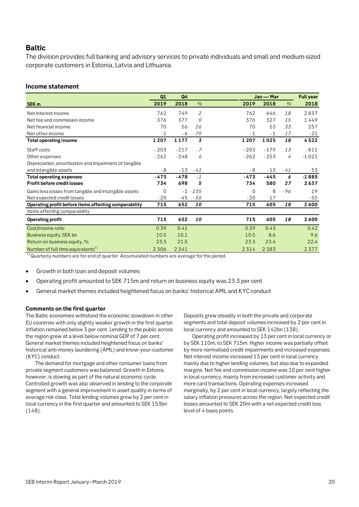# <span id="page-19-0"></span>**Baltic**

The division provides full banking and advisory services to private individuals and small and medium-sized corporate customers in Estonia, Latvia and Lithuania.

### **Income statement**

|                                                       | Q1          | Q <sub>4</sub> |                |             | Jan — Mar |       |         |
|-------------------------------------------------------|-------------|----------------|----------------|-------------|-----------|-------|---------|
| SEK <sub>m</sub>                                      | 2019        | 2018           | $\%$           | 2019        | 2018      | $\%$  | 2018    |
| Net interest income                                   | 762         | 749            | $\overline{2}$ | 762         | 646       | 18    | 2837    |
| Net fee and commission income                         | 376         | 377            | 0              | 376         | 327       | 15    | 1449    |
| Net financial income                                  | 70          | 56             | 26             | 70          | 53        | 33    | 257     |
| Net other income                                      | $-1$        | - 6            | $-79$          | $-1$        | $-1$      | $-17$ | $-21$   |
| <b>Total operating income</b>                         | 1207        | 1177           | 3              | 1207        | 1025      | 18    | 4522    |
| Staff costs                                           | $-203$      | $-217$         | $-7$           | $-203$      | $-179$    | 13    | $-811$  |
| Other expenses                                        | $-262$      | $-248$         | 6              | $-262$      | $-253$    | 4     | $-1021$ |
| Depreciation, amortisation and impairment of tangible |             |                |                |             |           |       |         |
| and intangible assets                                 | - 8         | $-13$          | $-41$          | $-8$        | $-13$     | $-41$ | -53     |
| <b>Total operating expenses</b>                       | -473        | $-478$         | $-1$           | -473        | $-445$    | 6     | $-1885$ |
| Profit before credit losses                           | 734         | 698            | 5              | 734         | 580       | 27    | 2637    |
| Gains less losses from tangible and intangible assets | $\mathbf 0$ |                | $-1 - 135$     | $\mathbf 0$ | 8         | $-96$ | 19      |
| Net expected credit losses                            | $-20$       | -45            | -56            | $-20$       | 17        |       | $-55$   |
| Operating profit before items affecting comparability | 715         | 652            | 10             | 715         | 605       | 18    | 2600    |
| Items affecting comparability                         |             |                |                |             |           |       |         |
| <b>Operating profit</b>                               | 715         | 652            | 10             | 715         | 605       | 18    | 2600    |
| Cost/Income ratio                                     | 0.39        | 0.41           |                | 0.39        | 0.43      |       | 0.42    |
| Business equity, SEK bn                               | 10.5        | 10.1           |                | 10.5        | 8.6       |       | 9.6     |
| Return on business equity, %                          | 23.3        | 21.5           |                | 23.3        | 23.4      |       | 22.4    |
| Number of full time equivalents <sup>1)</sup>         | 2306        | 2341           |                | 2314        | 2383      |       | 2377    |

<sup>1)</sup> Quarterly numbers are for end of quarter. Accumulated numbers are average for the period.

- Growth in both loan and deposit volumes
- Operating profit amounted to SEK 715m and return on business equity was 23.3 per cent
- General market themes included heightened focus on banks' historical AML and KYC conduct

### **Comments on the first quarter**

The Baltic economies withstood the economic slowdown in other EU countries with only slightly weaker growth in the first quarter. Inflation remained below 3 per cent. Lending to the public across the region grew at a level below nominal GDP of 7 per cent. General market themes included heightened focus on banks' historical anti-money laundering (AML) and know-your-customer (KYC) conduct.

The demand for mortgage and other consumer loans from private segment customers was balanced. Growth in Estonia, however, is slowing as part of the natural economic cycle. Controlled growth was also observed in lending to the corporate segment with a general improvement in asset quality in terms of average risk class. Total lending volumes grew by 2 per cent in local currency in the first quarter and amounted to SEK 153bn (148).

Deposits grew steadily in both the private and corporate segments and total deposit volumes increased by 2 per cent in local currency and amounted to SEK 142bn (138).

Operating profit increased by 13 per cent in local currency or by SEK 110m, to SEK 715m. Higher income was partially offset by more normalised credit impairments and increased expenses. Net interest income increased 13 per cent in local currency mainly due to higher lending volumes, but also due to expanded margins. Net fee and commission income was 10 per cent higher in local currency, mainly from increased customer activity and more card transactions. Operating expenses increased marginally, by 2 per cent in local currency, largely reflecting the salary inflation pressures across the region. Net expected credit losses amounted to SEK 20m with a net expected credit loss level of 4 basis points.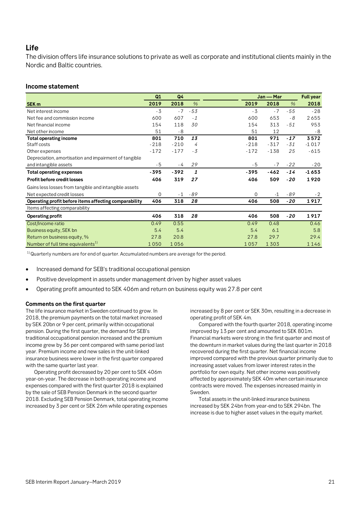## <span id="page-20-0"></span>**Life**

The division offers life insurance solutions to private as well as corporate and institutional clients mainly in the Nordic and Baltic countries.

### **Income statement**

|                                                       | Q1       | Q4     |               |        | Jan — Mar |       | <b>Full year</b> |
|-------------------------------------------------------|----------|--------|---------------|--------|-----------|-------|------------------|
| SEK <sub>m</sub>                                      | 2019     | 2018   | $\frac{0}{0}$ | 2019   | 2018      | $\%$  | 2018             |
| Net interest income                                   | $-3$     | $-7$   | $-53$         | $-3$   | $-7$      | $-55$ | $-28$            |
| Net fee and commission income                         | 600      | 607    | $-1$          | 600    | 653       | - 8   | 2655             |
| Net financial income                                  | 154      | 118    | 30            | 154    | 313       | $-51$ | 953              |
| Net other income                                      | 51       | $-8$   |               | 51     | 12        |       | - 8              |
| <b>Total operating income</b>                         | 801      | 710    | 13            | 801    | 971       | $-17$ | 3572             |
| Staff costs                                           | $-218$   | $-210$ | 4             | $-218$ | $-317$    | $-31$ | $-1017$          |
| Other expenses                                        | $-172$   | $-177$ | $-3$          | $-172$ | $-138$    | 25    | $-615$           |
| Depreciation, amortisation and impairment of tangible |          |        |               |        |           |       |                  |
| and intangible assets                                 | $-5$     | - 4    | 29            | - 5    | $-7$      | $-22$ | $-20$            |
| <b>Total operating expenses</b>                       | -395     | $-392$ | 1             | $-395$ | $-462$    | $-14$ | $-1653$          |
| <b>Profit before credit losses</b>                    | 406      | 319    | 27            | 406    | 509       | $-20$ | 1920             |
| Gains less losses from tangible and intangible assets |          |        |               |        |           |       |                  |
| Net expected credit losses                            | $\Omega$ | $-1$   | $-89$         | 0      | $-1$      | $-89$ | $-2$             |
| Operating profit before items affecting comparability | 406      | 318    | 28            | 406    | 508       | $-20$ | 1917             |
| Items affecting comparability                         |          |        |               |        |           |       |                  |
| Operating profit                                      | 406      | 318    | 28            | 406    | 508       | -20   | 1917             |
| Cost/Income ratio                                     | 0.49     | 0.55   |               | 0.49   | 0.48      |       | 0.46             |
| Business equity, SEK bn                               | 5.4      | 5.4    |               | 5.4    | 6.1       |       | 5.8              |
| Return on business equity, %                          | 27.8     | 20.8   |               | 27.8   | 29.7      |       | 29.4             |
| Number of full time equivalents <sup>1)</sup>         | 1050     | 1056   |               | 1057   | 1303      |       | 1146             |

 $1)$ Quarterly numbers are for end of quarter. Accumulated numbers are average for the period.

• Increased demand for SEB's traditional occupational pension

- Positive development in assets under management driven by higher asset values
- Operating profit amounted to SEK 406m and return on business equity was 27.8 per cent

### **Comments on the first quarter**

The life insurance market in Sweden continued to grow. In 2018, the premium payments on the total market increased by SEK 20bn or 9 per cent, primarily within occupational pension. During the first quarter, the demand for SEB's traditional occupational pension increased and the premium income grew by 36 per cent compared with same period last year. Premium income and new sales in the unit-linked insurance business were lower in the first quarter compared with the same quarter last year.

Operating profit decreased by 20 per cent to SEK 406m year-on-year. The decrease in both operating income and expenses compared with the first quarter 2018 is explained by the sale of SEB Pension Denmark in the second quarter 2018. Excluding SEB Pension Denmark, total operating income increased by 3 per cent or SEK 26m while operating expenses

increased by 8 per cent or SEK 30m, resulting in a decrease in operating profit of SEK 4m.

Compared with the fourth quarter 2018, operating income improved by 13 per cent and amounted to SEK 801m. Financial markets were strong in the first quarter and most of the downturn in market values during the last quarter in 2018 recovered during the first quarter. Net financial income improved compared with the previous quarter primarily due to increasing asset values from lower interest rates in the portfolio for own equity. Net other income was positively affected by approximately SEK 40m when certain insurance contracts were moved. The expenses increased mainly in Sweden.

Total assets in the unit-linked insurance business increased by SEK 24bn from year-end to SEK 294bn. The increase is due to higher asset values in the equity market.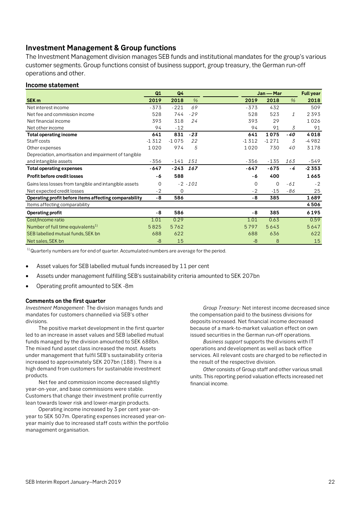# <span id="page-21-0"></span>**Investment Management & Group functions**

The Investment Management division manages SEB funds and institutional mandates for the group's various customer segments. Group functions consist of business support, group treasury, the German run-off operations and other.

### **Income statement**

|                                                       | Q1       | Q <sub>4</sub> |               |          | Jan - Mar   |               | <b>Full year</b> |
|-------------------------------------------------------|----------|----------------|---------------|----------|-------------|---------------|------------------|
| SEK <sub>m</sub>                                      | 2019     | 2018           | $\frac{0}{6}$ | 2019     | 2018        | $\frac{9}{6}$ | 2018             |
| Net interest income                                   | $-373$   | $-221$         | 69            | $-373$   | 432         |               | 509              |
| Net fee and commission income                         | 528      | 744            | $-29$         | 528      | 523         | 1             | 2393             |
| Net financial income                                  | 393      | 318            | 24            | 393      | 29          |               | 1026             |
| Net other income                                      | 94       | $-12$          |               | 94       | 91          | 3             | 91               |
| <b>Total operating income</b>                         | 641      | 831            | $-23$         | 641      | 1075        | -40           | 4018             |
| Staff costs                                           | $-1312$  | $-1075$        | 22            | $-1312$  | $-1271$     | 3             | $-4982$          |
| Other expenses                                        | 1020     | 974            | 5             | 1020     | 730         | 40            | 3178             |
| Depreciation, amortisation and impairment of tangible |          |                |               |          |             |               |                  |
| and intangible assets                                 | $-356$   | $-141$         | 151           | -356     | $-135$      | 163           | -549             |
| <b>Total operating expenses</b>                       | -647     | $-243$         | 167           | -647     | $-675$      | - 4           | $-2353$          |
| Profit before credit losses                           | -6       | 588            |               | - 6      | 400         |               | 1665             |
| Gains less losses from tangible and intangible assets | $\Omega$ |                | $-2 - 101$    | $\Omega$ | $\mathbf 0$ | $-61$         | $-2$             |
| Net expected credit losses                            | $-2$     | $\mathbf 0$    |               | $-2$     | $-15$       | - 86          | 25               |
| Operating profit before items affecting comparability | $-8$     | 586            |               | - 8      | 385         |               | 1689             |
| Items affecting comparability                         |          |                |               |          |             |               | 4506             |
| <b>Operating profit</b>                               | - 8      | 586            |               | - 8      | 385         |               | 6195             |
| Cost/Income ratio                                     | 1.01     | 0.29           |               | 1.01     | 0.63        |               | 0.59             |
| Number of full time equivalents <sup>1)</sup>         | 5825     | 5762           |               | 5797     | 5643        |               | 5647             |
| SEB labelled mutual funds, SEK bn                     | 688      | 622            |               | 688      | 636         |               | 622              |
| Net sales, SEK bn                                     | -8       | 15             |               | -8       | 8           |               | 15               |

 $1)$  Quarterly numbers are for end of quarter. Accumulated numbers are average for the period.

- Asset values for SEB labelled mutual funds increased by 11 per cent
- Assets under management fulfilling SEB's sustainability criteria amounted to SEK 207bn
- Operating profit amounted to SEK -8m

### **Comments on the first quarter**

*Investment Management*: The division manages funds and mandates for customers channelled via SEB's other divisions.

The positive market development in the first quarter led to an increase in asset values and SEB labelled mutual funds managed by the division amounted to SEK 688bn. The mixed fund asset class increased the most. Assets under management that fulfil SEB's sustainability criteria increased to approximately SEK 207bn (188). There is a high demand from customers for sustainable investment products.

Net fee and commission income decreased slightly year-on-year, and base commissions were stable. Customers that change their investment profile currently lean towards lower risk and lower-margin products.

Operating income increased by 3 per cent year-onyear to SEK 507m. Operating expenses increased year-onyear mainly due to increased staff costs within the portfolio management organisation.

*Group Treasury:* Net interest income decreased since the compensation paid to the business divisions for deposits increased. Net financial income decreased because of a mark-to-market valuation effect on own issued securities in the German run-off operations.

*Business support* supports the divisions with IT operations and development as well as back office services. All relevant costs are charged to be reflected in the result of the respective division.

*Other* consists of Group staff and other various small units. This reporting period valuation effects increased net financial income.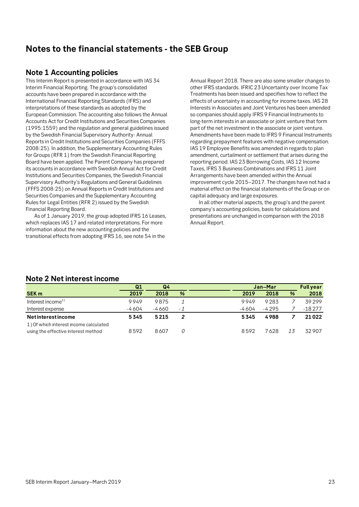# <span id="page-22-0"></span>**Notes to the financial statements - the SEB Group**

## <span id="page-22-1"></span>**Note 1 Accounting policies**

This Interim Report is presented in accordance with IAS 34 Interim Financial Reporting. The group's consolidated accounts have been prepared in accordance with the International Financial Reporting Standards (IFRS) and interpretations of these standards as adopted by the European Commission. The accounting also follows the Annual Accounts Act for Credit Institutions and Securities Companies (1995:1559) and the regulation and general guidelines issued by the Swedish Financial Supervisory Authority: Annual Reports in Credit Institutions and Securities Companies (FFFS 2008:25). In addition, the Supplementary Accounting Rules for Groups (RFR 1) from the Swedish Financial Reporting Board have been applied. The Parent Company has prepared its accounts in accordance with Swedish Annual Act for Credit Institutions and Securities Companies, the Swedish Financial Supervisory Authority's Regulations and General Guidelines (FFFS 2008:25) on Annual Reports in Credit Institutions and Securities Companies and the Supplementary Accounting Rules for Legal Entities (RFR 2) issued by the Swedish Financial Reporting Board.

As of 1 January 2019, the group adopted IFRS 16 Leases, which replaces IAS 17 and related interpretations. For more information about the new accounting policies and the transitional effects from adopting IFRS 16, see note 54 in the

Annual Report 2018. There are also some smaller changes to other IFRS standards. IFRIC 23 Uncertainty over Income Tax Treatments has been issued and specifies how to reflect the effects of uncertainty in accounting for income taxes. IAS 28 Interests in Associates and Joint Ventures has been amended so companies should apply IFRS 9 Financial Instruments to long-term interests in an associate or joint venture that form part of the net investment in the associate or joint venture. Amendments have been made to IFRS 9 Financial Instruments regarding prepayment features with negative compensation. IAS 19 Employee Benefits was amended in regards to plan amendment, curtailment or settlement that arises during the reporting period. IAS 23 Borrowing Costs, IAS 12 Income Taxes, IFRS 3 Business Combinations and IFRS 11 Joint Arrangements have been amended within the Annual improvement cycle 2015–2017. The changes have not had a material effect on the financial statements of the Group or on capital adequacy and large exposures.

In all other material aspects, the group's and the parent company's accounting policies, basis for calculations and presentations are unchanged in comparison with the 2018 Annual Report.

|                                        | Q <sub>1</sub> | Q4    |     |        | Jan-Mar |    |          |
|----------------------------------------|----------------|-------|-----|--------|---------|----|----------|
| <b>SEK m</b>                           | 2019           | 2018  | %   | 2019   | 2018    | %  | 2018     |
| Interest income <sup>1)</sup>          | 9949           | 9875  |     | 9949   | 9283    |    | 39299    |
| Interest expense                       | -4604          | -4660 | - 1 | -4 604 | -4295   |    | $-18277$ |
| <b>Netinterestincome</b>               | 5345           | 5215  |     | 5345   | 4988    |    | 21022    |
| 1) Of which interest income calculated |                |       |     |        |         |    |          |
| using the effective interest method    | 8592           | 8607  | 0   | 8592   | 7628    | 13 | 32907    |

## <span id="page-22-2"></span>**Note 2 Net interest income**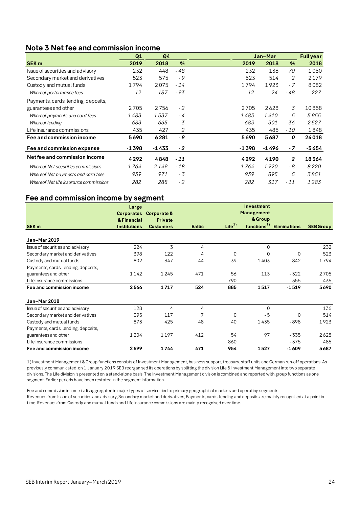## <span id="page-23-0"></span>**Note 3 Net fee and commission income**

|                                        | Q1    | Q <sub>4</sub> |       |         | Jan-Mar     |                | <b>Full year</b> |
|----------------------------------------|-------|----------------|-------|---------|-------------|----------------|------------------|
| <b>SEK m</b>                           | 2019  | 2018           | %     | 2019    | 2018        | %              | 2018             |
| Issue of securities and advisory       | 232   | 448            | - 48  | 232     | 136         | 70             | 1050             |
| Secondary market and derivatives       | 523   | 575            | - 9   | 523     | 514         | 2              | 2179             |
| Custody and mutual funds               | 1794  | 2075           | $-14$ | 1794    | 1923        | $-7$           | 8082             |
| Whereof performance fees               | 12    | 187            | - 93  | 12      | 24          | - 48           | 227              |
| Payments, cards, lending, deposits,    |       |                |       |         |             |                |                  |
| guarantees and other                   | 2705  | 2756           | $-2$  | 2705    | 2628        | 3              | 10858            |
| Whereof payments and card fees         | 1 483 | 1537           | - 4   | 1483    | <i>1410</i> | 5              | 5955             |
| Whereof lending                        | 683   | 665            | 3     | 683     | 501         | 36             | 2527             |
| Life insurance commissions             | 435   | 427            | 2     | 435     | 485         | $-10$          | 1848             |
| Fee and commission income              | 5690  | 6281           | $-9$  | 5690    | 5687        | 0              | 24018            |
| Fee and commission expense             | -1398 | -1433          | $-2$  | $-1398$ | $-1496$     | $-7$           | $-5654$          |
| Net fee and commission income          | 4292  | 4848           | $-11$ | 4292    | 4190        | $\overline{2}$ | 18364            |
| Whereof Net securities commissions     | 1764  | 2149           | $-18$ | 1 764   | 1920        | - 8            | 8220             |
| Whereof Net payments and card fees     | 939   | 971            | - 3   | 939     | 895         | 5              | 3851             |
| Whereof Net life insurance commissions | 282   | 288            | $-2$  | 282     | 317         | $-11$          | 1283             |

## **Fee and commission income by segment**

|                                     | Large               |                        |               |                   | Investment              |                     |                  |
|-------------------------------------|---------------------|------------------------|---------------|-------------------|-------------------------|---------------------|------------------|
|                                     |                     | Corporates Corporate & |               |                   | Management              |                     |                  |
|                                     | & Financial         | Private                |               |                   | & Group                 |                     |                  |
| SEK <sub>m</sub>                    | <b>Institutions</b> | <b>Customers</b>       | <b>Baltic</b> | Life <sup>1</sup> | functions <sup>1)</sup> | <b>Eliminations</b> | <b>SEB Group</b> |
|                                     |                     |                        |               |                   |                         |                     |                  |
| Jan-Mar 2019                        |                     |                        |               |                   |                         |                     |                  |
| Issue of securities and advisory    | 224                 | 3                      | 4             |                   | $\Omega$                |                     | 232              |
| Secondary market and derivatives    | 398                 | 122                    | 4             | $\Omega$          | $\Omega$                | $\mathbf 0$         | 523              |
| Custody and mutual funds            | 802                 | 347                    | 44            | 39                | 1403                    | $-842$              | 1794             |
| Payments, cards, lending, deposits, |                     |                        |               |                   |                         |                     |                  |
| guarantees and other                | 1142                | 1245                   | 471           | 56                | 113                     | $-322$              | 2705             |
| Life insurance commissions          |                     |                        |               | 790               |                         | $-355$              | 435              |
| Fee and commission income           | 2566                | 1717                   | 524           | 885               | 1517                    | $-1519$             | 5690             |
| Jan-Mar 2018                        |                     |                        |               |                   |                         |                     |                  |
| Issue of securities and advisory    | 128                 | 4                      | 4             |                   | $\Omega$                |                     | 136              |
| Secondary market and derivatives    | 395                 | 117                    | 7             | $\Omega$          | $-5$                    | $\mathbf 0$         | 514              |
| Custody and mutual funds            | 873                 | 425                    | 48            | 40                | 1435                    | $-898$              | 1923             |
| Payments, cards, lending, deposits, |                     |                        |               |                   |                         |                     |                  |
| guarantees and other                | 1 2 0 4             | 1197                   | 412           | 54                | 97                      | $-335$              | 2628             |
| Life insurance commissions          |                     |                        |               | 860               |                         | $-375$              | 485              |
| Fee and commission income           | 2599                | 1744                   | 471           | 954               | 1527                    | $-1609$             | 5687             |

1) Investment Management & Group functions consists of Investment Management, business support, treasury, staff units and German run-off operations. As previously communicated, on 1 January 2019 SEB reorganised its operations by splitting the division Life & Investment Management into two separate divisions. The Life division is presented on a stand-alone basis. The Investment Management division is combined and reported with group functions as one segment. Earlier periods have been restated in the segment information.

Fee and commission income is disaggregated in major types of service tied to primary geographical markets and operating segments. Revenues from Issue of securities and advisory, Secondary market and derivatives, Payments, cards, lending and deposits are mainly recognised at a point in time. Revenues from Custody and mutual funds and Life insurance commissions are mainly recognised over time.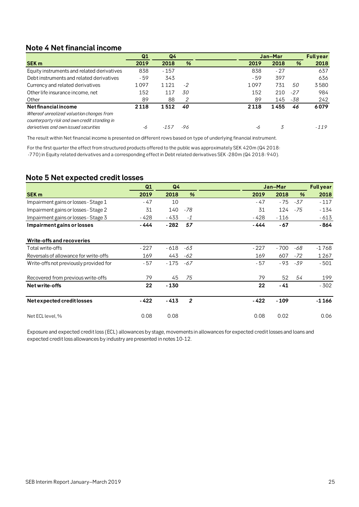# <span id="page-24-0"></span>**Note 4 Net financial income**

| %<br>2018<br>2019<br>838<br>$-27$<br>397<br>$-59$ | %       | 2018<br>637    |
|---------------------------------------------------|---------|----------------|
|                                                   |         |                |
|                                                   |         |                |
|                                                   |         | 636            |
| 1097<br>731                                       | 50      | 3580           |
| 152<br>210                                        | $-27$   | 984            |
| 89<br>145                                         | -38     | 242            |
| 2118<br>1455                                      | 46      | 6079<br>$-119$ |
|                                                   | 3<br>-6 |                |

The result within Net financial income is presented on different rows based on type of underlying financial instrument.

For the first quarter the effect from structured products offered to the public was approximately SEK 420m (Q4 2018: -770) in Equity related derivatives and a corresponding effect in Debt related derivatives SEK -280m (Q4 2018: 940).

# <span id="page-24-1"></span>**Note 5 Net expected credit losses**

|                                        | Q1     | Q <sub>4</sub> |                | Jan-Mar |        | <b>Full year</b> |         |
|----------------------------------------|--------|----------------|----------------|---------|--------|------------------|---------|
| <b>SEK m</b>                           | 2019   | 2018           | %              | 2019    | 2018   | %                | 2018    |
| Impairment gains or losses - Stage 1   | $-47$  | 10             |                | - 47    | - 75   | -37              | $-117$  |
| Impairment gains or losses - Stage 2   | 31     | 140            | -78            | 31      | 124    | - 75             | $-134$  |
| Impairment gains or losses - Stage 3   | - 428  | - 433          | $-1$           | - 428   | $-116$ |                  | $-613$  |
| Impairment gains or losses             | - 444  | - 282          | 57             | - 444   | $-67$  |                  | - 864   |
| Write-offs and recoveries              |        |                |                |         |        |                  |         |
| Total write-offs                       | $-227$ | - 618          | -63            | $-227$  | $-700$ | -68              | -1768   |
| Reversals of allowance for write-offs  | 169    | 443            | -62            | 169     | 607    | -72              | 1 2 6 7 |
| Write-offs not previously provided for | - 57   | - 175          | -67            | - 57    | - 93   | -39              | $-501$  |
| Recovered from previous write-offs     | 79     | 45             | 75             | 79      | 52     | 54               | 199     |
| Net write-offs                         | 22     | $-130$         |                | 22      | $-41$  |                  | $-302$  |
| Net expected credit losses             | - 422  | $-413$         | $\overline{2}$ | - 422   | $-109$ |                  | $-1166$ |
| Net ECL level, %                       | 0.08   | 0.08           |                | 0.08    | 0.02   |                  | 0.06    |

Exposure and expected credit loss (ECL) allowances by stage, movements in allowances for expected credit losses and loans and expected credit loss allowances by industry are presented in notes 10-12.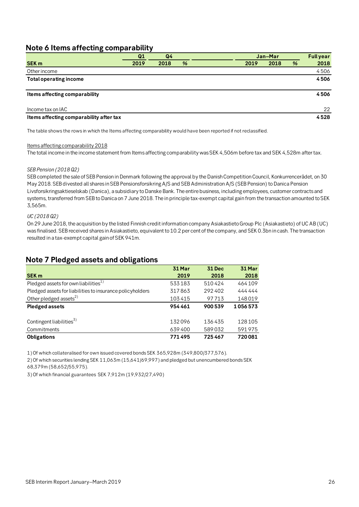# <span id="page-25-0"></span>**Note 6 Items affecting comparability**

|                                         | Q1   | Q <sub>4</sub> |   | Jan-Mar |      |   | <b>Full year</b> |
|-----------------------------------------|------|----------------|---|---------|------|---|------------------|
| <b>SEK m</b>                            | 2019 | 2018           | % | 2019    | 2018 | % | 2018             |
| Other income                            |      |                |   |         |      |   | 4506             |
| <b>Total operating income</b>           |      |                |   |         |      |   | 4506             |
| Items affecting comparability           |      |                |   |         |      |   | 4506             |
| Income tax on IAC                       |      |                |   |         |      |   | 22               |
| Items affecting comparability after tax |      |                |   |         |      |   | 4528             |

The table shows the rows in which the Items affecting comparability would have been reported if not reclassified.

### Items affecting comparability 2018

The total income in the income statement from Items affecting comparability was SEK 4,506m before tax and SEK 4,528m after tax.

### *SEB Pension (2018 Q2)*

SEB completed the sale of SEB Pension in Denmark following the approval by the Danish Competition Council, Konkurrencerådet, on 30 May 2018. SEB divested all shares in SEB Pensionsforsikring A/S and SEB Administration A/S (SEB Pension) to Danica Pension Livsforsikringsaktieselskab (Danica), a subsidiary to Danske Bank. The entire business, including employees, customer contracts and systems, transferred from SEB to Danica on 7 June 2018. The in principle tax-exempt capital gain from the transaction amounted to SEK 3,565m.

### *UC (2018 Q2)*

On 29 June 2018, the acquisition by the listed Finnish credit information company Asiakastieto Group Plc (Asiakastieto) of UC AB (UC) was finalised. SEB received shares in Asiakastieto, equivalent to 10.2 per cent of the company, and SEK 0.3bn in cash. The transaction resulted in a tax-exempt capital gain of SEK 941m.

## <span id="page-25-1"></span>**Note 7 Pledged assets and obligations**

| -0<br>-0                                                  |        |        |         |
|-----------------------------------------------------------|--------|--------|---------|
|                                                           | 31 Mar | 31 Dec | 31 Mar  |
| <b>SEK m</b>                                              | 2019   | 2018   | 2018    |
| Pledged assets for own liabilities <sup>1)</sup>          | 533183 | 510424 | 464109  |
| Pledged assets for liabilities to insurance policyholders | 317863 | 292402 | 444444  |
| Other pledged assets <sup>2)</sup>                        | 103415 | 97713  | 148019  |
| <b>Pledged assets</b>                                     | 954461 | 900539 | 1056573 |
|                                                           |        |        |         |
| Contingent liabilities <sup>3)</sup>                      | 132096 | 136435 | 128105  |
| Commitments                                               | 639400 | 589032 | 591975  |
| <b>Obligations</b>                                        | 771495 | 725467 | 720081  |

1) Of which collateralised for own issued covered bonds SEK 365,928m (349,800/377,576).

2) Of which securities lending SEK 11,063m (15,641/69,997) and pledged but unencumbered bonds SEK 68,379m (58,652/55,975).

3) Of which financial guarantees SEK 7,912m (19,932/27,490)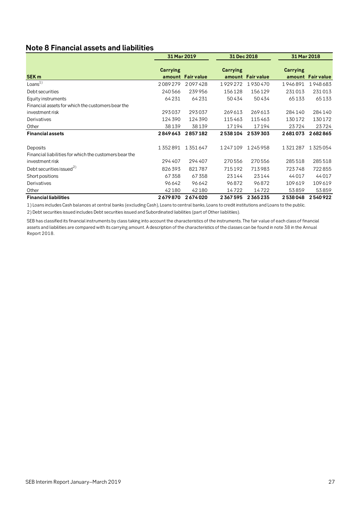# <span id="page-26-0"></span>**Note 8 Financial assets and liabilities**

|                                                        | 31 Mar 2019 |                   | 31 Dec 2018 |                   | 31 Mar 2018     |                   |
|--------------------------------------------------------|-------------|-------------------|-------------|-------------------|-----------------|-------------------|
| SEK <sub>m</sub>                                       | Carrying    | amount Fair value | Carrying    | amount Fair value | <b>Carrying</b> | amount Fair value |
| Loans <sup>1</sup>                                     | 2089279     | 2097428           | 1929272     | 1930470           | 1946891         | 1948683           |
| Debt securities                                        | 240566      | 239956            | 156128      | 156129            | 231013          | 231013            |
| Equity instruments                                     | 64231       | 64231             | 50434       | 50434             | 65133           | 65133             |
| Financial assets for which the customers bear the      |             |                   |             |                   |                 |                   |
| investment risk                                        | 293037      | 293037            | 269 613     | 269613            | 284140          | 284140            |
| Derivatives                                            | 124 390     | 124 390           | 115463      | 115463            | 130 172         | 130172            |
| Other                                                  | 38139       | 38139             | 17194       | 17194             | 23724           | 23724             |
| <b>Financial assets</b>                                | 2849643     | 2857182           | 2538104     | 2539303           | 2681073         | 2682865           |
| Deposits                                               | 1352891     | 1351647           | 1247109     | 1245958           | 1321287         | 1325054           |
| Financial liabilities for which the customers bear the |             |                   |             |                   |                 |                   |
| investment risk                                        | 294 407     | 294407            | 270556      | 270556            | 285518          | 285518            |
| Debt securities issued <sup>2)</sup>                   | 826393      | 821787            | 715192      | 713983            | 723748          | 722855            |
| Short positions                                        | 67358       | 67358             | 23144       | 23144             | 44017           | 44017             |
| Derivatives                                            | 96642       | 96642             | 96872       | 96872             | 109619          | 109619            |
| Other                                                  | 42180       | 42180             | 14722       | 14722             | 53859           | 53859             |
| <b>Financial liabilities</b>                           | 2679870     | 2674020           | 2367595     | 2365235           | 2538048         | 2540922           |

1) Loans includes Cash balances at central banks (excluding Cash), Loans to central banks, Loans to credit institutions and Loans to the public.

2) Debt securities issued includes Debt securities issued and Subordinated liabilities (part of Other liablitiies).

SEB has classified its financial instruments by class taking into account the characteristics of the instruments. The fair value of each class of financial assets and liabilities are compared with its carrying amount. A description of the characteristics of the classes can be found in note 38 in the Annual Report 2018.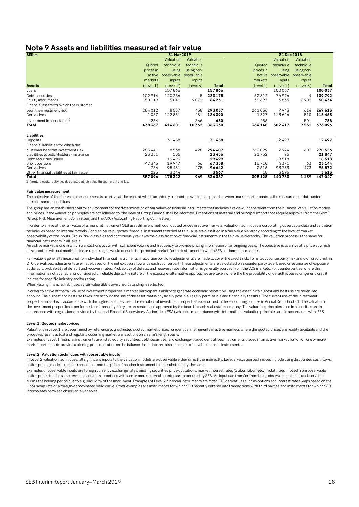## <span id="page-27-0"></span>**Note 9 Assets and liabilities measured at fair value**

| SEK <sub>m</sub>                          |           | 31 Mar 2019 |            |              |           |            | 31 Dec 2018 |              |
|-------------------------------------------|-----------|-------------|------------|--------------|-----------|------------|-------------|--------------|
|                                           |           | Valuation   | Valuation  |              |           | Valuation  | Valuation   |              |
|                                           | Quoted    | technique   | technique  |              | Quoted    | technique  | technique   |              |
|                                           | prices in | using       | using non- |              | prices in | using      | using non-  |              |
|                                           | active    | observable  | observable |              | active    | observable | observable  |              |
|                                           | markets   | inputs      | inputs     |              | markets   | inputs     | inputs      |              |
| <b>Assets</b>                             | (Level 1) | (Level 2)   | (Level 3)  | <b>Total</b> | (Level 1) | (Level 2)  | (Level 3)   | <b>Total</b> |
| Loans                                     |           | 157866      |            | 157866       |           | 100037     |             | 100037       |
| Debt securities                           | 102914    | 120256      | 5          | 223175       | 62812     | 76976      | 4           | 139792       |
| Equity instruments                        | 50119     | 5041        | 9072       | 64231        | 38697     | 3835       | 7902        | 50434        |
| Financial assets for which the customer   |           |             |            |              |           |            |             |              |
| bear the investment risk                  | 284012    | 8587        | 438        | 293037       | 261056    | 7943       | 614         | 269 613      |
| Derivatives                               | 1057      | 122851      | 481        | 124390       | 1327      | 113626     | 510         | 115463       |
| Investment in associates <sup>1)</sup>    | 264       |             | 366        | 630          | 256       |            | 501         | 758          |
| Total                                     | 438367    | 414601      | 10362      | 863330       | 364148    | 302417     | 9531        | 676096       |
| Liabilities                               |           |             |            |              |           |            |             |              |
| Deposits                                  |           | 31458       |            | 31458        |           | 12497      |             | 12497        |
| Financial liabilities for which the       |           |             |            |              |           |            |             |              |
| customer bear the investment risk         | 285441    | 8538        | 428        | 294407       | 262029    | 7924       | 603         | 270 556      |
| Liabilities to policyholders - insurance  | 23351     | 105         |            | 23456        | 21752     | 95         |             | 21847        |
| Debt securities issued                    |           | 19499       |            | 19499        |           | 18518      |             | 18518        |
| Short positions                           | 47345     | 19947       | 66         | 67358        | 18710     | 4371       | 63          | 23144        |
| Derivatives                               | 736       | 95431       | 475        | 96642        | 2616      | 93783      | 473         | 96872        |
| Other financial liabilities at fair value | 223       | 3344        |            | 3567         | 18        | 3595       |             | 3613         |
| Total                                     | 357096    | 178322      | 969        | 536387       | 305125    | 140783     | 1139        | 447047       |

1) Venture capital activities designated at fair value through profit and loss.

#### **Fair value measurement**

The objective of the fair value measurement is to arrive at the price at which an orderly transaction would take place between market participants at the measurement date under current market conditions.

The group has an established control environment for the determination of fair values of financial instruments that includes a review, independent from the business, of valuation models and prices. If the validation principles are not adhered to, the Head of Group Finance shall be informed. Exceptions of material and principal importance require approval from the GRMC (Group Risk Measurement Committee) and the ARC (Accounting Reporting Committee).

In order to arrive at the fair value of a financial instrument SEB uses different methods; quoted prices in active markets, valuation techniques incorporating observable data and valuation techniques based on internal models. For disclosure purposes, financial instruments carried at fair value are classified in a fair value hierarchy according to the level of market observability of the inputs. Group Risk classifies and continuously reviews the classification of financial instruments in the fair value hierarchy. The valuation process is the same for financial instruments in all levels.

An active market is one in which transactions occur with sufficient volume and frequency to provide pricing information on an ongoing basis. The objective is to arrive at a price at which a transaction without modification or repackaging would occur in the principal market for the instrument to which SEB has immediate access.

Fair value is generally measured for individual financial instruments, in addition portfolio adjustments are made to cover the credit risk. To reflect counterparty risk and own credit risk in OTC derivatives, adjustments are made based on the net exposure towards each counterpart. These adjustments are calculated on a counterparty level based on estimates of exposure at default, probability of default and recovery rates. Probability of default and recovery rate information is generally sourced from the CDS markets. For counterparties where this information is not available, or considered unreliable due to the nature of the exposure, alternative approaches are taken where the the probability of default is based on generic credit indices for specific industry and/or rating.

When valuing financial liabilities at fair value SEB's own credit standing is reflected.

In order to arrive at the fair value of investment properties a market participant's ability to generate economic benefit by using the asset in its highest and best use are taken into account. The highest and best use takes into account the use of the asset that is physically possible, legally permissible and financially feasible. The current use of the investment properties in SEB is in accordance with the highest and best use. The valuation of investment properties is described in the accounting policies in Annual Report note 1. The valuation of the investment properties is performed semi-annually, they are presented and approved by the board in each real estate company. The valuation principles used in all entities are in accordance with regulations provided by the local Financial Supervisory Authorities (FSA) which is in accordance with international valuation principles and in accordance with IFRS.

#### **Level 1: Quoted market prices**

Valuations in Level 1 are determined by reference to unadjusted quoted market prices for identical instruments in active markets where the quoted prices are readily available and the prices represent actual and regularly occurring market transactions on an arm's length basis.

Examples of Level 1 financial instruments are listed equity securities, debt securities, and exchange-traded derivatives. Instruments traded in an active market for which one or more market participants provide a binding price quotation on the balance sheet date are also examples of Level 1 financial instruments.

#### **Level 2: Valuation techniques with observable inputs**

In Level 2 valuation techniques, all significant inputs to the valuation models are observable either directly or indirectly. Level 2 valuation techniques include using discounted cash flows, option pricing models, recent transactions and the price of another instrument that is substantially the same.

Examples of observable inputs are foreign currency exchange rates, binding securities price quotations, market interest rates (Stibor, Libor, etc.), volatilities implied from observable option prices for the same term and actual transactions with one or more external counterparts executed by SEB. An input can transfer from being observable to being unobservable during the holding period due to e.g. illiquidity of the instrument. Examples of Level 2 financial instruments are most OTC derivatives such as options and interest rate swaps based on the Libor swap rate or a foreign-denominated yield curve. Other examples are instruments for which SEB recently entered into transactions with third parties and instruments for which SEB interpolates between observable variables.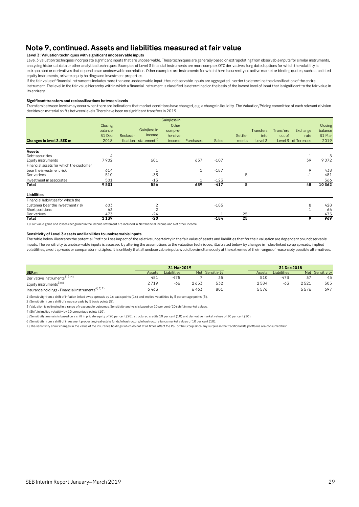# **Note 9, continued. Assets and liabilities measured at fair value**

#### **Level 3: Valuation techniques with significant unobservable inputs**

Level 3 valuation techniques incorporate significant inputs that are unobservable. These techniques are generally based on extrapolating from observable inputs for similar instruments, analysing historical data or other analytical techniques. Examples of Level 3 financial instruments are more complex OTC derivatives, long dated options for which the volatility is extrapolated or derivatives that depend on an unobservable correlation. Other examples are instruments for which there is currently no active market or binding quotes, such as unlisted equity instruments, private equity holdings and investment properties.

If the fair value of financial instruments includes more than one unobservable input, the unobservable inputs are aggregated in order to determine the classification of the entire instrument. The level in the fair value hierarchy within which a financial instrument is classified is determined on the basis of the lowest level of input that is significant to the fair value in its entirety.

#### **Significant transfers and reclassifications between levels**

Transfers between levels may occur when there are indications that market conditions have changed, e.g. a change in liquidity. The Valuation/Pricing committee of each relevant division decides on material shifts between levels.There have been no significant transfers in 2019.

| Changes in level 3, SEK m               | Closing<br>balance<br>31 Dec<br>2018 | Reclassi- | Gain/loss in<br>Income<br>fication statement <sup>1)</sup> | Gain/loss in<br>Other<br>compre-<br>hensive<br>income | Purchases | <b>Sales</b> | Settle-<br>ments | <b>Transfers</b><br>into<br>Level 3 | <b>Transfers</b><br>out of | Exchange<br>rate<br>Level 3 differences | Closing<br>balance<br>31 Mar<br>2019 |
|-----------------------------------------|--------------------------------------|-----------|------------------------------------------------------------|-------------------------------------------------------|-----------|--------------|------------------|-------------------------------------|----------------------------|-----------------------------------------|--------------------------------------|
| <b>Assets</b>                           |                                      |           |                                                            |                                                       |           |              |                  |                                     |                            |                                         |                                      |
| Debt securities<br>Equity instruments   | 4<br>7902                            |           | 601                                                        |                                                       | 637       | $-107$       |                  |                                     |                            | 39                                      | 5<br>9072                            |
| Financial assets for which the customer |                                      |           |                                                            |                                                       |           |              |                  |                                     |                            |                                         |                                      |
| bear the investment risk                | 614                                  |           |                                                            |                                                       | 1         | $-187$       |                  |                                     |                            | 9                                       | 438                                  |
| Derivatives                             | 510                                  |           | $-33$                                                      |                                                       |           |              | 5                |                                     |                            | $-1$                                    | 481                                  |
| Investment in associates                | 501                                  |           | $-13$                                                      |                                                       |           | $-123$       |                  |                                     |                            |                                         | 366                                  |
| Total                                   | 9531                                 |           | 556                                                        |                                                       | 639       | $-417$       | 5                |                                     |                            | 48                                      | 10362                                |
| Liabilities                             |                                      |           |                                                            |                                                       |           |              |                  |                                     |                            |                                         |                                      |
| Financial liabilities for which the     |                                      |           |                                                            |                                                       |           |              |                  |                                     |                            |                                         |                                      |
| customer bear the investment risk       | 603                                  |           | 2                                                          |                                                       |           | $-185$       |                  |                                     |                            | 8                                       | 428                                  |
| Short positions                         | 63                                   |           | $\overline{2}$                                             |                                                       |           |              |                  |                                     |                            |                                         | 66                                   |
| Derivatives                             | 473                                  |           | $-24$                                                      |                                                       |           |              | 25               |                                     |                            |                                         | 475                                  |
| Total                                   | 1139                                 |           | -20                                                        |                                                       |           | $-184$       | 25               |                                     |                            | 9                                       | 969                                  |

1) Fair value gains and losses recognised in the income statement are included in Net financial income and Net other income.

#### **Sensitivity of Level 3 assets and liabilities to unobservable inputs**

The table below illustrates the potential Profit or Loss impact of the relative uncertainty in the fair value of assets and liabilities that for their valuation are dependent on unobservable inputs. The sensitivity to unobservable inputs is assessed by altering the assumptions to the valuation techniques, illustrated below by changes in index-linked swap spreads, implied volatilities, credit spreads or comparator multiples. It is unlikely that all unobservable inputs would be simultaneously at the extremes of their ranges of reasonably possible alternatives.

|                                                             |        | 31 Mar 2019 |      |                 |        | 31 Dec 2018 |            |             |  |
|-------------------------------------------------------------|--------|-------------|------|-----------------|--------|-------------|------------|-------------|--|
| SEK <sub>m</sub>                                            | Assets | Liabilities |      | Net Sensitivity | Assets | Liabilities | <b>Net</b> | Sensitivity |  |
| Derivative instruments <sup>1)2)4)</sup>                    | 481    | $-475$      |      |                 | 510    | $-473$      |            | 45          |  |
| Equity instruments <sup>3)6)</sup>                          | 2719   | -66         | 2653 | 532             | 2584   | -63         | 2521       | 505         |  |
| Insurance holdings - Financial instruments <sup>4) 5)</sup> | 6463   |             | 6463 | 801             | 5576   |             | 5576       | 697         |  |

1) Sensitivity from a shift of inflation linked swap spreads by 16 basis points (16) and implied volatilities by 5 percentage points (5).

2) Sensitivity from a shift of swap spreads by 5 basis points (5).

3) Valuation is estimated in a range of reasonable outcomes. Sensitivity analysis is based on 20 per cent (20) shift in market values.

4) Shift in implied volatility by 10 percentage points (10).

5) Sensitivity analysis is based on a shift in private equity of 20 per cent (20), structured credits 10 per cent (10) and derivative market values of 10 per cent (10).

6) Sensitivity from a shift of investment properties/real estate funds/infrastructure/infrastructure funds market values of 10 per cent (10).

7) The sensitivity show changes in the value of the insurance holdings which do not at all times affect the P&L of the Group since any surplus in the traditional life portfolios are consumed first.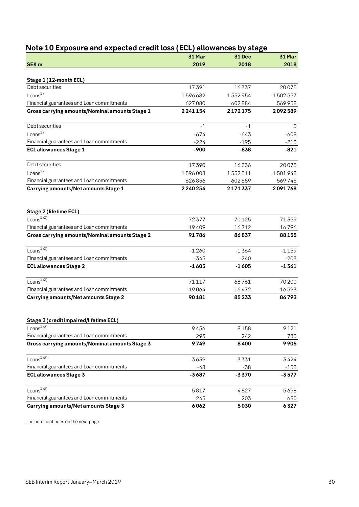<span id="page-29-0"></span>

| Note 10 Exposure and expected credit loss (ECL) allowances by stage                         |             |             |             |  |
|---------------------------------------------------------------------------------------------|-------------|-------------|-------------|--|
|                                                                                             | 31 Mar      | 31 Dec      | 31 Mar      |  |
| <b>SEK m</b>                                                                                | 2019        | 2018        | 2018        |  |
| Stage 1 (12-month ECL)                                                                      |             |             |             |  |
| Debt securities                                                                             | 17391       | 16337       | 20075       |  |
| Loans <sup>1</sup>                                                                          | 1596682     | 1552954     | 1502557     |  |
| Financial guarantees and Loan commitments                                                   | 627080      | 602884      | 569958      |  |
| Gross carrying amounts/Nominal amounts Stage 1                                              | 2241154     | 2172175     | 2092589     |  |
| Debt securities                                                                             | $-1$        | $-1$        | $\Omega$    |  |
| Loans <sup>1</sup>                                                                          | $-674$      | $-643$      | $-608$      |  |
| Financial guarantees and Loan commitments                                                   | $-224$      | $-195$      | $-213$      |  |
| <b>ECL allowances Stage 1</b>                                                               | $-900$      | $-838$      | $-821$      |  |
| Debt securities                                                                             | 17390       | 16336       | 20075       |  |
| Loans <sup>1</sup>                                                                          | 1596008     | 1552311     | 1501948     |  |
| Financial guarantees and Loan commitments                                                   | 626856      | 602 689     | 569745      |  |
| Carrying amounts/Net amounts Stage 1                                                        | 2240254     | 2171337     | 2091768     |  |
| Stage 2 (lifetime ECL)                                                                      |             |             |             |  |
| Loans $^{1/2)}$                                                                             | 72377       | 70125       | 71359       |  |
| Financial guarantees and Loan commitments                                                   | 19409       | 16712       | 16796       |  |
| Gross carrying amounts/Nominal amounts Stage 2                                              | 91786       | 86837       | 88155       |  |
| Loans $^{1/2)}$                                                                             | $-1260$     | $-1364$     | $-1159$     |  |
| Financial guarantees and Loan commitments                                                   | $-345$      | $-240$      | $-203$      |  |
| <b>ECL allowances Stage 2</b>                                                               | $-1605$     | $-1605$     | $-1361$     |  |
| Loans <sup><math>1)2)</math></sup>                                                          | 71117       | 68761       | 70 200      |  |
| Financial guarantees and Loan commitments                                                   | 19064       | 16472       | 16593       |  |
| Carrying amounts/Net amounts Stage 2                                                        | 90181       | 85233       | 86793       |  |
|                                                                                             |             |             |             |  |
| Stage 3 (credit impaired/lifetime ECL)<br>Loans $\overline{^{1)3)} }$                       |             |             |             |  |
|                                                                                             | 9456        | 8158        | 9121        |  |
| Financial guarantees and Loan commitments<br>Gross carrying amounts/Nominal amounts Stage 3 | 293<br>9749 | 242<br>8400 | 783<br>9905 |  |
|                                                                                             |             |             |             |  |
| Loans $^{1\overline{3}}$                                                                    | $-3639$     | $-3331$     | $-3424$     |  |
| Financial guarantees and Loan commitments                                                   | $-48$       | -38         | $-153$      |  |
| <b>ECL allowances Stage 3</b>                                                               | $-3687$     | $-3370$     | $-3577$     |  |
| Loans $^{1\overline{)3)}}$                                                                  | 5817        | 4827        | 5698        |  |
| Financial guarantees and Loan commitments                                                   | 245         | 203         | 630         |  |
| Carrying amounts/Net amounts Stage 3                                                        | 6062        | 5030        | 6327        |  |

The note continues on the next page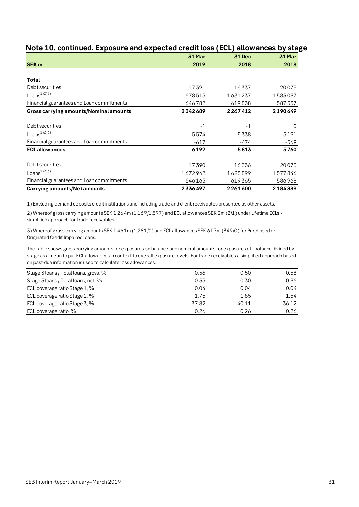|                                           | 31 Mar  | 31 Dec  | 31 Mar  |
|-------------------------------------------|---------|---------|---------|
| <b>SEK m</b>                              | 2019    | 2018    | 2018    |
|                                           |         |         |         |
| Total                                     |         |         |         |
| Debt securities                           | 17391   | 16337   | 20075   |
| $Loans1$ <sup>2</sup> ) <sup>3</sup>      | 1678515 | 1631237 | 1583037 |
| Financial guarantees and Loan commitments | 646782  | 619838  | 587537  |
| Gross carrying amounts/Nominal amounts    | 2342689 | 2267412 | 2190649 |
|                                           |         |         |         |
| Debt securities                           | $-1$    | $-1$    | 0       |
| $Loans1$ <sup>2</sup> ) <sup>3</sup>      | $-5574$ | -5338   | $-5191$ |
| Financial guarantees and Loan commitments | $-617$  | -474    | -569    |
| <b>ECL allowances</b>                     | $-6192$ | $-5813$ | -5760   |
| Debt securities                           | 17390   | 16336   | 20075   |
| Loans $^{1/2}$ <sup>3)</sup>              | 1672942 | 1625899 | 1577846 |
| Financial guarantees and Loan commitments | 646165  | 619365  | 586968  |
| Carrying amounts/Net amounts              | 2336497 | 2261600 | 2184889 |

# **Note 10, continued. Exposure and expected credit loss (ECL) allowances by stage**

1) Excluding demand deposits credit institutions and including trade and client receivables presented as other assets.

2) Whereof gross carrying amounts SEK 1,264m (1,169/1,597) and ECL allowances SEK 2m (2/1) under Lifetime ECLs simplified approach for trade receivables.

3) Whereof gross carrying amounts SEK 1,461m (1,281/0) and ECL allowances SEK 617m (349/0) for Purchased or Originated Credit Impaired loans.

The table shows gross carrying amounts for exposures on balance and nominal amounts for exposures off-balance divided by stage as a mean to put ECL allowances in context to overall exposure levels. For trade receivables a simplified approach based on past-due information is used to calculate loss allowances.

| Stage 3 loans / Total loans, gross, % | 0.56  | 0.50  | 0.58  |
|---------------------------------------|-------|-------|-------|
| Stage 3 loans / Total loans, net, %   | 0.35  | 0.30  | 0.36  |
| ECL coverage ratio Stage 1, %         | 0.04  | 0.04  | 0.04  |
| ECL coverage ratio Stage 2, %         | 1.75  | 1.85  | 1.54  |
| ECL coverage ratio Stage 3, %         | 37.82 | 40.11 | 36.12 |
| ECL coverage ratio, %                 | 0.26  | 0.26  | 0.26  |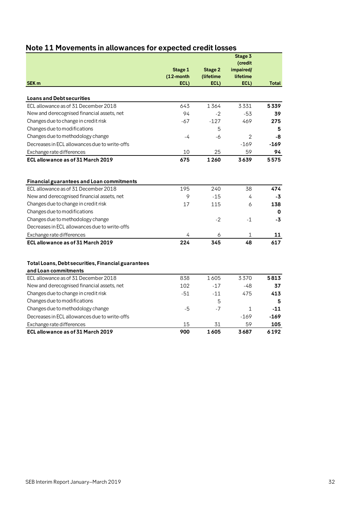|                                                                                                                                                                                                                                                                                               | <b>Stage 1</b><br>$(12$ -month | <b>Stage 2</b><br>(lifetime | Stage 3<br>(credit<br>impaired/<br>lifetime |                             |
|-----------------------------------------------------------------------------------------------------------------------------------------------------------------------------------------------------------------------------------------------------------------------------------------------|--------------------------------|-----------------------------|---------------------------------------------|-----------------------------|
| SEK <sub>m</sub>                                                                                                                                                                                                                                                                              | ECL)                           | ECL)                        | ECL)                                        | <b>Total</b>                |
| <b>Loans and Debt securities</b>                                                                                                                                                                                                                                                              |                                |                             |                                             |                             |
| ECL allowance as of 31 December 2018                                                                                                                                                                                                                                                          | 643                            | 1364                        | 3331                                        | 5339                        |
| New and derecognised financial assets, net                                                                                                                                                                                                                                                    | 94                             | $-2$                        | -53                                         | 39                          |
| Changes due to change in credit risk                                                                                                                                                                                                                                                          | $-67$                          | $-127$                      | 469                                         | 275                         |
| Changes due to modifications                                                                                                                                                                                                                                                                  |                                | 5                           |                                             | 5                           |
| Changes due to methodology change                                                                                                                                                                                                                                                             | -4                             | -6                          | $\overline{2}$                              | -8                          |
| Decreases in ECL allowances due to write-offs                                                                                                                                                                                                                                                 |                                |                             | $-169$                                      | $-169$                      |
| Exchange rate differences                                                                                                                                                                                                                                                                     | 10                             | 25                          | 59                                          | 94                          |
| ECL allowance as of 31 March 2019                                                                                                                                                                                                                                                             | 675                            | 1260                        | 3639                                        | 5575                        |
| Financial guarantees and Loan commitments<br>ECL allowance as of 31 December 2018<br>New and derecognised financial assets, net<br>Changes due to change in credit risk<br>Changes due to modifications<br>Changes due to methodology change<br>Decreases in ECL allowances due to write-offs | 195<br>9<br>17                 | 240<br>$-15$<br>115<br>$-2$ | 38<br>4<br>6<br>$-1$                        | 474<br>-3<br>138<br>0<br>-3 |
| Exchange rate differences                                                                                                                                                                                                                                                                     | 4                              | 6                           | $\mathbf{1}$                                | 11                          |
| ECL allowance as of 31 March 2019                                                                                                                                                                                                                                                             | 224                            | 345                         | 48                                          | 617                         |
| Total Loans, Debt securities, Financial guarantees<br>and Loan commitments<br>ECL allowance as of 31 December 2018                                                                                                                                                                            | 838                            | 1605                        | 3370                                        | 5813                        |
| New and derecognised financial assets, net                                                                                                                                                                                                                                                    | 102                            | $-17$                       | -48                                         | 37                          |
| Changes due to change in credit risk                                                                                                                                                                                                                                                          | $-51$                          | $-11$                       | 475                                         | 413                         |
| Changes due to modifications                                                                                                                                                                                                                                                                  |                                | 5                           |                                             | 5                           |
| Changes due to methodology change                                                                                                                                                                                                                                                             | -5                             | $-7$                        | $\mathbf{1}$                                | $-11$                       |
| Decreases in ECL allowances due to write-offs                                                                                                                                                                                                                                                 |                                |                             | $-169$                                      | $-169$                      |
| Exchange rate differences                                                                                                                                                                                                                                                                     | 15                             | 31                          | 59                                          | 105                         |
| ECL allowance as of 31 March 2019                                                                                                                                                                                                                                                             | 900                            | 1605                        | 3687                                        | 6192                        |

# <span id="page-31-0"></span>**Note 11 Movements in allowances for expected credit losses**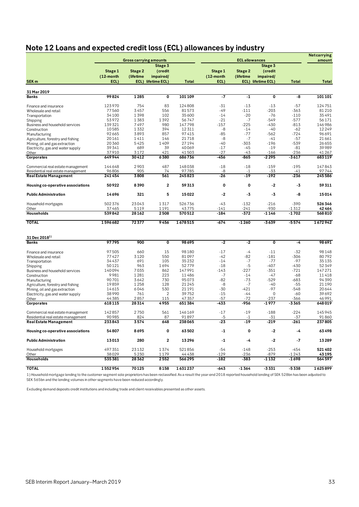# <span id="page-32-0"></span>**Note 12 Loans and expected credit loss (ECL) allowances by industry**

|                                     |                 |                               |                         |                  |                 |                       |                         |                  | <b>Netcarrying</b> |
|-------------------------------------|-----------------|-------------------------------|-------------------------|------------------|-----------------|-----------------------|-------------------------|------------------|--------------------|
|                                     |                 | <b>Gross carrying amounts</b> |                         |                  |                 | <b>ECL allowances</b> |                         |                  | amount             |
|                                     |                 |                               | Stage 3                 |                  |                 |                       | Stage 3                 |                  |                    |
|                                     | Stage 1         | Stage 2                       | (credit                 |                  | Stage 1         | Stage 2               | (credit                 |                  |                    |
|                                     | (12-month       | (lifetime                     | impaired/               |                  | (12-month       | (lifetime)            | impaired/               |                  |                    |
| SEK <sub>m</sub>                    | ECL)            |                               | ECL) lifetime ECL)      | <b>Total</b>     | ECL)            |                       | ECL) lifetime ECL)      | <b>Total</b>     | <b>Total</b>       |
|                                     |                 |                               |                         |                  |                 |                       |                         |                  |                    |
| 31 Mar 2019<br><b>Banks</b>         | 99824           | 1285                          | $\overline{\mathbf{0}}$ | 101109           | -7              | $-1$                  | $\overline{\mathbf{0}}$ | -8               | 101101             |
|                                     |                 |                               |                         |                  |                 |                       |                         |                  |                    |
| Finance and insurance               | 123970          | 754                           | 83                      | 124808           | $-31$           | $-13$                 | $-13$                   | $-57$            | 124751             |
| Wholesale and retail                | 77560           | 3457                          | 556                     | 81573            | -49             | $-111$                | $-203$                  | $-363$           | 81 210             |
| Transportation                      | 34100           | 1398                          | 102                     | 35600            | $-14$           | $-20$                 | $-76$                   | $-110$           | 35491              |
| Shipping                            | 53972           | 1383                          | 1392                    | 56747            | $-21$           | $-7$                  | $-549$                  | $-577$           | 56171              |
| Business and household services     | 139321          | 7497                          | 980                     | 147798           | $-157$          | $-225$                | $-430$                  | $-813$           | 146986             |
| Construction                        | 10585           | 1332                          | 394                     | 12311            | -8              | $-14$                 | -40                     | $-62$            | 12249              |
| Manufacturing                       | 92665           | 3893                          | 857                     | 97415            | $-85$           | $-77$                 | -562                    | $-724$           | 96691              |
| Agriculture, forestry and fishing   | 20161           | 1411                          | 146                     | 21718            | -8              | $-7$                  | $-41$                   | $-57$            | 21 661             |
| Mining, oil and gas extraction      | 20360           | 5425                          | 1409                    | 27194            | $-40$           | $-303$                | $-196$                  | $-539$           | 26655              |
| Electricity, gas and water supply   | 39341           | 689                           | 39                      | 40069            | $-17$           | $-45$                 | $-19$                   | $-81$            | 39989              |
| Other                               | 37910           | 3172                          | 421                     | 41503            | $-27$           | -43                   | $-166$                  | $-236$           | 41 267             |
| Corporates                          | 649944          | 30412                         | 6380                    | 686736           | $-456$          | $-865$                | $-2295$                 | $-3617$          | 683119             |
| Commercial real estate management   | 144648          | 2903                          | 487                     | 148038           | $-18$           | $-18$                 | $-159$                  | $-195$           | 147843             |
| Residential real estate management  | 96806           | 905                           | 74                      | 97785            | -8              | $-1$                  | -33                     | $-41$            | 97744              |
| <b>Real Estate Management</b>       | 241454          | 3808                          | 561                     | 245823           | $-26$           | $-19$                 | $-192$                  | $-236$           | 245586             |
| Housing co-operative associations   | 50922           | 8390                          | $\overline{2}$          | 59313            | 0               | 0                     | $-2$                    | -3               | 59311              |
| <b>Public Administration</b>        | 14696           | 321                           | 5                       | 15022            | -2              | -3                    | -3                      | -8               | 15014              |
|                                     |                 |                               |                         |                  |                 |                       |                         |                  |                    |
| Household mortgages                 | 502 376         | 23043                         | 1317                    | 526736           | $-43$           | $-132$                | $-216$                  | $-390$           | 526346             |
| Other<br><b>Households</b>          | 37465<br>539842 | 5119<br>28162                 | 1191<br>2508            | 43775<br>570512  | -141<br>$-184$  | $-241$<br>-372        | $-930$<br>-1146         | $-1312$<br>-1702 | 42464<br>568810    |
|                                     |                 |                               |                         |                  |                 |                       |                         |                  |                    |
| <b>TOTAL</b>                        | 1596682         | 72377                         | 9456                    | 1678515          | $-674$          | $-1260$               | $-3639$                 | $-5574$          | 1672942            |
|                                     |                 |                               |                         |                  |                 |                       |                         |                  |                    |
| $31$ Dec $2018^{1}$<br><b>Banks</b> | 97795           | 900                           | $\overline{\mathbf{0}}$ | 98695            | -2              | $-2$                  | $\mathbf 0$             | -4               | 98691              |
|                                     |                 |                               |                         |                  |                 |                       |                         |                  |                    |
| Finance and insurance               | 97505           | 660                           | 15                      | 98180            | $-17$           | -4                    | $-11$                   | $-32$            | 98148              |
| Wholesale and retail                | 77427           | 3120                          | 550                     | 81097            | -42             | $-82$                 | $-181$                  | $-306$           | 80792              |
| Transportation                      | 34437           | 691                           | 105                     | 35232            | $-14$           | $-7$                  | $-77$                   | $-97$            | 35135              |
| Shipping                            | 50121           | 963                           | 1694                    | 52779            | $-18$           | $-5$                  | $-407$                  | $-430$           | 52349              |
| Business and household services     | 140094          | 7035                          | 862                     | 147991           | $-143$          | $-227$                | -351                    | $-721$           | 147271             |
| Construction                        | 9981            | 1281                          | 223                     | 11486            | $-7$            | $-14$                 | -47                     | -68              | 11418              |
| Manufacturing                       | 90701           | 3642                          | 730                     | 95073            | $-82$           | $-73$                 | $-529$                  | $-683$           | 94390              |
| Agriculture, forestry and fishing   | 19859           | 1258                          | 128                     | 21 2 4 5         | -8              | $-7$                  | -40                     | $-55$            | 21 190             |
| Mining, oil and gas extraction      | 14615           | 6046                          | 530                     | 21 1 9 1         | -30             | $-421$                | $-97$                   | $-548$           | 20644              |
| Electricity, gas and water supply   | 38990           | 761                           | 2                       | 39752            | $-15$           | -44                   | $\mathbf 0$             | $-60$            | 39692              |
| Other                               | 44385<br>618115 | 2857<br>28314                 | 115<br>4955             | 47357<br>651 384 | $-57$<br>$-433$ | $-72$<br>$-956$       | -237<br>$-1977$         | -366<br>$-3365$  | 46 991<br>648019   |
| Corporates                          |                 |                               |                         |                  |                 |                       |                         |                  |                    |
| Commercial real estate management   | 142857          | 2750                          | 561                     | 146169           | $-17$           | $-19$                 | $-188$                  | $-224$           | 145945             |
| Residential real estate management  | 90985           | 824                           | 87                      | 91897            | -5              | $-1$                  | -31                     | -37              | 91860              |
| Real Estate Management              | 233843          | 3574                          | 648                     | 238065           | $\overline{23}$ | .19                   | $-219$                  | $-261$           | 237805             |
| Housing co-operative associations   | 54807           | 8695                          | 0                       | 63502            | $-1$            | 0                     | $-2$                    | -4               | 63498              |
| <b>Public Administration</b>        | 13013           | 280                           | 2                       | 13296            | $-1$            | -4                    | -2                      | -7               | 13289              |
| Household mortgages                 | 497351          | 23132                         | 1374                    | 521856           | $-54$           | $-148$                | $-253$                  | $-454$           | 521402             |
| Other                               | 38029           | 5230                          | 1179                    | 44438            | $-129$          | -236                  | -879                    | $-1243$          | 43 195             |
| <b>Households</b>                   | 535 381         | 28362                         | 2552                    | 566 295          | -182            | -383                  | -1132                   | -1698            | 564597             |
| <b>TOTAL</b>                        | 1552954         | 70125                         | 8158                    | 1631237          | $-643$          | $-1364$               | $-3331$                 | $-5338$          | 1625899            |

1) Household mortgage lending to the customer segment sole proprietors has been reclassified. As a result the year-end 2018 reported household lending of SEK 528bn has been adjusted to SEK 565bn and the lending volumes in other segments have been reduced accordingly.

Excluding demand deposits credit institutions and including trade and client receivables presented as other assets.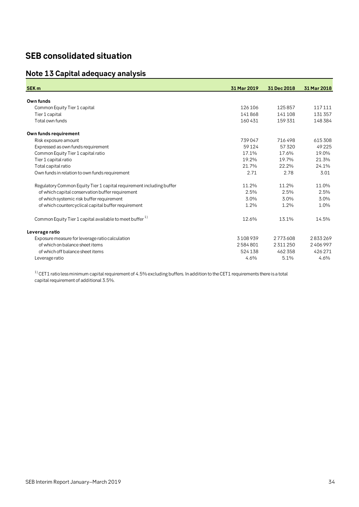# <span id="page-33-0"></span>**SEB consolidated situation**

# <span id="page-33-1"></span>**Note 13 Capital adequacy analysis**

| <b>SEK m</b>                                                         | 31 Mar 2019 | 31 Dec 2018   | 31 Mar 2018 |
|----------------------------------------------------------------------|-------------|---------------|-------------|
| Own funds                                                            |             |               |             |
| Common Equity Tier 1 capital                                         | 126106      | 125857        | 117111      |
| Tier 1 capital                                                       | 141868      | 141108        | 131357      |
| Total own funds                                                      | 160431      | 159 331       | 148384      |
| Own funds requirement                                                |             |               |             |
| Risk exposure amount                                                 | 739047      | 716498        | 615308      |
| Expressed as own funds requirement                                   | 59124       | 57320         | 49225       |
| Common Equity Tier 1 capital ratio                                   | 17.1%       | 17.6%         | 19.0%       |
| Tier 1 capital ratio                                                 | 19.2%       | 19.7%         | 21.3%       |
| Total capital ratio                                                  | 21.7%       | 22.2%         | 24.1%       |
| Own funds in relation to own funds requirement                       | 2.71        | 2.78          | 3.01        |
| Regulatory Common Equity Tier 1 capital requirement including buffer | 11.2%       | 11.2%         | 11.0%       |
| of which capital conservation buffer requirement                     | 2.5%        | 2.5%          | 2.5%        |
| of which systemic risk buffer requirement                            | 3.0%        | 3.0%          | 3.0%        |
| of which countercyclical capital buffer requirement                  | 1.2%        | 1.2%          | 1.0%        |
| Common Equity Tier 1 capital available to meet buffer <sup>1)</sup>  | 12.6%       | 13.1%         | 14.5%       |
| Leverage ratio                                                       |             |               |             |
| Exposure measure for leverage ratio calculation                      | 3108939     | 2773608       | 2833269     |
| of which on balance sheet items                                      | 2584801     | 2 3 1 1 2 5 0 | 2406997     |
| of which off balance sheet items                                     | 524138      | 462 358       | 426271      |
| Leverage ratio                                                       | 4.6%        | 5.1%          | 4.6%        |

 $1)$  CET1 ratio less minimum capital requirement of 4.5% excluding buffers. In addition to the CET1 requirements there is a total capital requirement of additional 3.5%.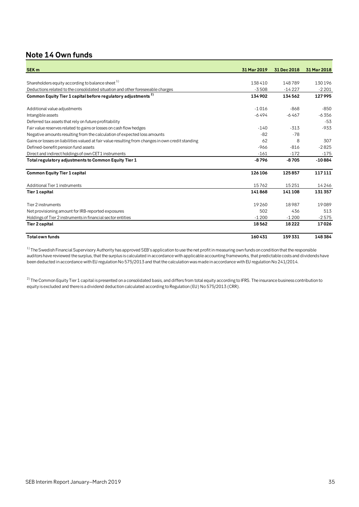# <span id="page-34-0"></span>**Note 14 Own funds**

| <b>SEK m</b>                                                                                      | 31 Mar 2019 | 31 Dec 2018 | 31 Mar 2018 |
|---------------------------------------------------------------------------------------------------|-------------|-------------|-------------|
| Shareholders equity according to balance sheet <sup>1)</sup>                                      | 138410      | 148789      | 130196      |
| Deductions related to the consolidated situation and other foreseeable charges                    | $-3508$     | $-14227$    | $-2201$     |
| Common Equity Tier 1 capital before regulatory adjustments <sup>2)</sup>                          | 134902      | 134562      | 127995      |
| Additional value adjustments                                                                      | $-1016$     | $-868$      | $-850$      |
| Intangible assets                                                                                 | $-6494$     | $-6467$     | $-6.356$    |
| Deferred tax assets that rely on future profitability                                             |             |             | -53         |
| Fair value reserves related to gains or losses on cash flow hedges                                | $-140$      | $-313$      | $-933$      |
| Negative amounts resulting from the calculation of expected loss amounts                          | $-82$       | $-78$       |             |
| Gains or losses on liabilities valued at fair value resulting from changes in own credit standing | 62          | 8           | 307         |
| Defined-benefit pension fund assets                                                               | $-966$      | $-816$      | $-2825$     |
| Direct and indirect holdings of own CET1 instruments                                              | $-161$      | $-172$      | $-175$      |
| Total regulatory adjustments to Common Equity Tier 1                                              | $-8796$     | $-8705$     | $-10884$    |
| <b>Common Equity Tier 1 capital</b>                                                               | 126 106     | 125857      | 117111      |
| Additional Tier 1 instruments                                                                     | 15762       | 15251       | 14246       |
| Tier 1 capital                                                                                    | 141868      | 141108      | 131357      |
| Tier 2 instruments                                                                                | 19260       | 18987       | 19089       |
| Net provisioning amount for IRB-reported exposures                                                | 502         | 436         | 513         |
| Holdings of Tier 2 instruments in financial sector entities                                       | $-1200$     | $-1200$     | $-2575$     |
| Tier 2 capital                                                                                    | 18562       | 18222       | 17026       |
| <b>Total own funds</b>                                                                            | 160431      | 159331      | 148384      |

 $1)$  The Swedish Financial Supervisory Authority has approved SEB's application to use the net profit in measuring own funds on condition that the responsible auditors have reviewed the surplus, that the surplus is calculated in accordance with applicable accounting frameworks, that predictable costs and dividends have been deducted in accordance with EU regulation No 575/2013 and that the calculation was made in accordance with EU regulation No 241/2014.

 $^{2)}$  The Common Equity Tier 1 capital is presented on a consolidated basis, and differs from total equity according to IFRS. The insurance business contribution to equity is excluded and there is a dividend deduction calculated according to Regulation (EU) No 575/2013 (CRR).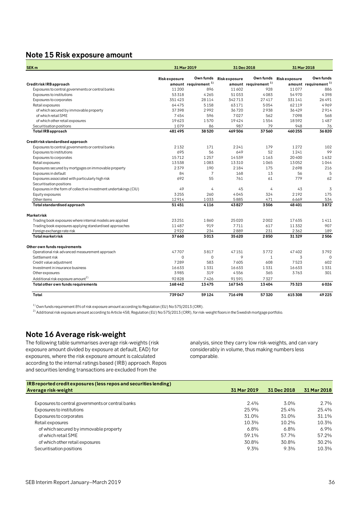## <span id="page-35-0"></span>**Note 15 Risk exposure amount**

| <b>SEK m</b>                                                      |                     | 31 Mar 2019                      | 31 Dec 2018         |                                  | 31 Mar 2018             |                                  |  |
|-------------------------------------------------------------------|---------------------|----------------------------------|---------------------|----------------------------------|-------------------------|----------------------------------|--|
|                                                                   | <b>Riskexposure</b> | Own funds                        | <b>Riskexposure</b> |                                  | Own funds Risk exposure | Own funds                        |  |
| Credit risk IRB approach                                          |                     | amount requirement <sup>1)</sup> |                     | amount requirement <sup>1)</sup> |                         | amount requirement <sup>1)</sup> |  |
| Exposures to central governments or central banks                 | 11 200              | 896                              | 11602               | 928                              | 11077                   | 886                              |  |
| Exposures to institutions                                         | 53318               | 4265                             | 51033               | 4083                             | 54970                   | 4398                             |  |
| Exposures to corporates                                           | 351423              | 28114                            | 342713              | 27417                            | 331141                  | 26491                            |  |
| Retail exposures                                                  | 64475               | 5158                             | 63171               | 5054                             | 62119                   | 4969                             |  |
| of which secured by immovable property                            | 37398               | 2992                             | 36720               | 2938                             | 36429                   | 2914                             |  |
| of which retail SME                                               | 7454                | 596                              | 7027                | 562                              | 7098                    | 568                              |  |
| of which other retail exposures                                   | 19623               | 1570                             | 19424               | 1554                             | 18592                   | 1487                             |  |
| Securitisation positions                                          | 1079                | 86                               | 987                 | 79                               | 948                     | 76                               |  |
| <b>TotalIRB</b> approach                                          | 481495              | 38520                            | 469506              | 37560                            | 460255                  | 36820                            |  |
| Credit risk standardised approach                                 |                     |                                  |                     |                                  |                         |                                  |  |
| Exposures to central governments or central banks                 | 2132                | 171                              | 2241                | 179                              | 1272                    | 102                              |  |
| Exposures to institutions                                         | 695                 | 56                               | 649                 | 52                               | 1241                    | 99                               |  |
| Exposures to corporates                                           | 15712               | 1257                             | 14539               | 1163                             | 20400                   | 1632                             |  |
| Retail exposures                                                  | 13538               | 1083                             | 13310               | 1065                             | 13052                   | 1044                             |  |
| Exposures secured by mortgages on immovable property              | 2379                | 190                              | 2184                | 175                              | 2698                    | 216                              |  |
| Exposures in default                                              | 84                  | $\overline{7}$                   | 168                 | 13                               | 56                      | 5                                |  |
| Exposures associated with particularly high risk                  | 692                 | 55                               | 761                 | 61                               | 779                     | 62                               |  |
| Securitisation positions                                          |                     |                                  |                     |                                  |                         |                                  |  |
| Exposures in the form of collective investment undertakings (CIU) | 49                  | $\overline{4}$                   | 45                  | 4                                | 43                      | 3                                |  |
| Equity exposures                                                  | 3255                | 260                              | 4045                | 324                              | 2192                    | 175                              |  |
| Other items                                                       | 12914               | 1033                             | 5885                | 471                              | 6669                    | 534                              |  |
| Total standardised approach                                       | 51451               | 4116                             | 43827               | 3506                             | 48401                   | 3872                             |  |
| <b>Marketrisk</b>                                                 |                     |                                  |                     |                                  |                         |                                  |  |
| Trading book exposures where internal models are applied          | 23251               | 1860                             | 25020               | 2002                             | 17635                   | 1411                             |  |
| Trading book exposures applying standardised approaches           | 11487               | 919                              | 7711                | 617                              | 11332                   | 907                              |  |
| Foreign exchange rate risk                                        | 2922                | 234                              | 2889                | 231                              | 2362                    | 189                              |  |
| <b>Total market risk</b>                                          | 37660               | 3013                             | 35620               | 2850                             | 31329                   | 2506                             |  |
| Other own funds requirements                                      |                     |                                  |                     |                                  |                         |                                  |  |
| Operational risk advanced measurement approach                    | 47707               | 3817                             | 47151               | 3772                             | 47402                   | 3792                             |  |
| Settlement risk                                                   | $\mathbf 0$         | $\mathbf 0$                      | $\circ$             | $\mathbf{1}$                     | 3                       | $\mathbf 0$                      |  |
| Credit value adjustment                                           | 7289                | 583                              | 7605                | 608                              | 7523                    | 602                              |  |
| Investment in insurance business                                  | 16633               | 1331                             | 16633               | 1331                             | 16633                   | 1331                             |  |
| Other exposures                                                   | 3985                | 319                              | 4556                | 365                              | 3763                    | 301                              |  |
| Additional risk exposure amount <sup>2)</sup>                     | 92828               | 7426                             | 91591               | 7327                             |                         |                                  |  |
| Total other own funds requirements                                | 168442              | 13475                            | 167545              | 13404                            | 75323                   | 6026                             |  |
| Total                                                             | 739047              | 59124                            | 716498              | 57320                            | 615308                  | 49225                            |  |

 $1)$  Own funds requirement 8% of risk exposure amount according to Regulation (EU) No 575/2013 (CRR).

 $^{2)}$  Additional risk exposure amount according to Article 458, Regulation (EU) No 575/2013 (CRR), for risk-weight floors in the Swedish mortgage portfolio.

## <span id="page-35-1"></span>**Note 16 Average risk-weight**

The following table summarises average risk-weights (risk exposure amount divided by exposure at default, EAD) for exposures, where the risk exposure amount is calculated according to the internal ratings based (IRB) approach. Repos and securities lending transactions are excluded from the

analysis, since they carry low risk-weights, and can vary considerably in volume, thus making numbers less comparable.

| IRB reported credit exposures (less repos and securities lending) |             |             |             |
|-------------------------------------------------------------------|-------------|-------------|-------------|
| Average risk-weight                                               | 31 Mar 2019 | 31 Dec 2018 | 31 Mar 2018 |
|                                                                   |             |             |             |
| Exposures to central governments or central banks                 | 2.4%        | 3.0%        | 2.7%        |
| Exposures to institutions                                         | 25.9%       | 25.4%       | 25.4%       |
| Exposures to corporates                                           | 31.0%       | 31.0%       | 31.1%       |
| Retail exposures                                                  | 10.3%       | 10.2%       | 10.3%       |
| of which secured by immovable property                            | 6.8%        | 6.8%        | $6.9\%$     |
| of which retail SME                                               | 59.1%       | 57 7%       | 57.2%       |
| of which other retail exposures                                   | 30.8%       | 30.8%       | 30.2%       |
| Securitisation positions                                          | 9.3%        | 9.3%        | 10.3%       |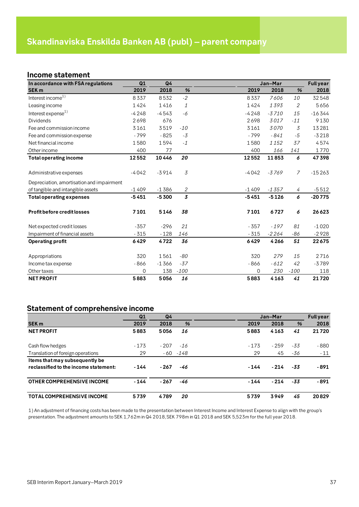## <span id="page-36-1"></span><span id="page-36-0"></span>**Income statement**

| In accordance with FSA regulations        | Q1       | Q <sub>4</sub> |        |          | Jan-Mar |                | <b>Full year</b> |
|-------------------------------------------|----------|----------------|--------|----------|---------|----------------|------------------|
| <b>SEK m</b>                              | 2019     | 2018           | %      | 2019     | 2018    | %              | 2018             |
| Interest income <sup>1)</sup>             | 8337     | 8532           | $-2$   | 8337     | 7606    | 10             | 32548            |
| Leasing income                            | 1424     | 1416           | 1      | 1424     | 1393    | 2              | 5656             |
| Interest expense <sup>1)</sup>            | $-4248$  | $-4543$        | -6     | $-4248$  | $-3710$ | 15             | $-16344$         |
| <b>Dividends</b>                          | 2698     | 676            |        | 2698     | 3017    | $-11$          | 9130             |
| Fee and commission income                 | 3161     | 3519           | $-10$  | 3161     | 3070    | 3              | 13281            |
| Fee and commission expense                | $-799$   | $-825$         | $-3$   | $-799$   | $-841$  | $-5$           | $-3218$          |
| Net financial income                      | 1580     | 1594           | $-1$   | 1580     | 1152    | 37             | 4574             |
| Other income                              | 400      | 77             |        | 400      | 166     | 141            | 1770             |
| <b>Total operating income</b>             | 12552    | 10446          | 20     | 12552    | 11853   | 6              | 47398            |
| Administrative expenses                   | $-4042$  | $-3914$        | 3      | $-4042$  | $-3769$ | $\overline{7}$ | $-15263$         |
| Depreciation, amortisation and impairment |          |                |        |          |         |                |                  |
| of tangible and intangible assets         | $-1409$  | $-1386$        | 2      | $-1409$  | $-1357$ | 4              | $-5512$          |
| <b>Total operating expenses</b>           | $-5451$  | $-5300$        | 3      | $-5451$  | $-5126$ | 6              | $-20775$         |
| <b>Profit before credit losses</b>        | 7101     | 5146           | 38     | 7101     | 6727    | 6              | 26623            |
| Net expected credit losses                | $-357$   | $-296$         | 21     | $-357$   | $-197$  | 81             | $-1020$          |
| Impairment of financial assets            | $-315$   | $-128$         | 146    | $-315$   | $-2264$ | -86            | $-2928$          |
| <b>Operating profit</b>                   | 6429     | 4722           | 36     | 6429     | 4266    | 51             | 22675            |
| Appropriations                            | 320      | 1561           | -80    | 320      | 279     | 15             | 2716             |
| Income tax expense                        | $-866$   | $-1366$        | $-37$  | $-866$   | $-612$  | 42             | $-3789$          |
| Other taxes                               | $\Omega$ | 138            | $-100$ | $\Omega$ | 230     | $-100$         | 118              |
| <b>NET PROFIT</b>                         | 5883     | 5056           | 16     | 5883     | 4163    | 41             | 21720            |

## <span id="page-36-2"></span>**Statement of comprehensive income**

|                                       | Q1     | Q <sub>4</sub> |             |        | Jan-Mar |       | <b>Full year</b> |
|---------------------------------------|--------|----------------|-------------|--------|---------|-------|------------------|
| <b>SEK m</b>                          | 2019   | 2018           | %           | 2019   | 2018    | %     | 2018             |
| <b>NET PROFIT</b>                     | 5883   | 5056           | 16          | 5883   | 4163    | 41    | 21720            |
| Cash flow hedges                      | $-173$ | $-207$         | $-16$       | $-173$ | $-259$  | -33   | - 880            |
| Translation of foreign operations     | 29     |                | $-60 - 148$ | 29     | 45      | -36   | $-11$            |
| Items that may subsequently be        |        |                |             |        |         |       |                  |
| reclassified to the income statement: | $-144$ | - 267          | -46         | - 144  | $-214$  | $-33$ | - 891            |
| OTHER COMPREHENSIVE INCOME            | $-144$ | - 267          | -46         | $-144$ | $-214$  | $-33$ | $-891$           |
| <b>TOTAL COMPREHENSIVE INCOME</b>     | 5739   | 4789           | 20          | 5739   | 3949    | 45    | 20829            |

1) An adjustment of financing costs has been made to the presentation between Interest Income and Interest Expense to align with the group's presentation. The adjustment amounts to SEK 1,762m in Q4 2018, SEK 798m in Q1 2018 and SEK 5,523m for the full year 2018.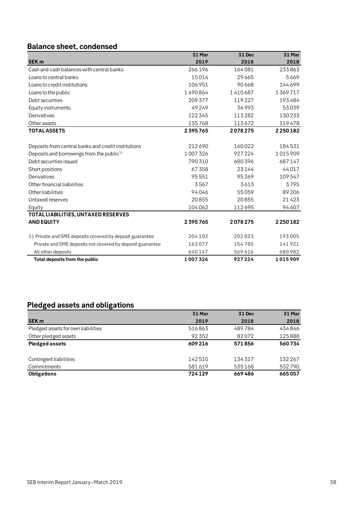# <span id="page-37-0"></span>**Balance sheet, condensed**

|                                                           | 31 Mar  | 31 Dec  | 31 Mar  |
|-----------------------------------------------------------|---------|---------|---------|
| <b>SEK m</b>                                              | 2019    | 2018    | 2018    |
| Cash and cash balances with central banks                 | 266196  | 164081  | 233863  |
| Loans to central banks                                    | 15014   | 29665   | 5669    |
| Loans to credit institutions                              | 106951  | 90668   | 144699  |
| Loans to the public                                       | 1490864 | 1410687 | 1369717 |
| Debt securities                                           | 209 377 | 119227  | 193484  |
| Equity instruments                                        | 49249   | 36993   | 53039   |
| Derivatives                                               | 122345  | 113282  | 130233  |
| Other assets                                              | 135768  | 113672  | 119478  |
| <b>TOTAL ASSETS</b>                                       | 2395765 | 2078275 | 2250182 |
|                                                           |         |         |         |
| Deposits from central banks and credit institutions       | 212690  | 160022  | 184531  |
| Deposits and borrowings from the public <sup>1)</sup>     | 1007326 | 927224  | 1015909 |
| Debt securities issued                                    | 790310  | 680396  | 687147  |
| Short positions                                           | 67358   | 23144   | 44017   |
| Derivatives                                               | 95551   | 95269   | 109547  |
| Other financial liabilities                               | 3567    | 3613    | 3795    |
| Other liabilities                                         | 94046   | 55059   | 89 20 6 |
| Untaxed reserves                                          | 20855   | 20855   | 21423   |
| Equity                                                    | 104062  | 112695  | 94607   |
| TOTAL LIABILITIES, UNTAXED RESERVES                       |         |         |         |
| <b>AND EQUITY</b>                                         | 2395765 | 2078275 | 2250182 |
| 1) Private and SME deposits covered by deposit guarantee  | 204 102 | 202823  | 193005  |
| Private and SME deposits not covered by deposit guarantee | 163077  | 154785  | 141921  |
| All other deposits                                        | 640147  | 569616  | 680982  |
| Total deposits from the public                            | 1007326 | 927224  | 1015909 |

# <span id="page-37-1"></span>**Pledged assets and obligations**

|                                    | 31 Mar | <b>31 Dec</b> | <b>31 Mar</b> |
|------------------------------------|--------|---------------|---------------|
| <b>SEK m</b>                       | 2019   | 2018          | 2018          |
| Pledged assets for own liabilities | 516863 | 489784        | 434846        |
| Other pledged assets               | 92352  | 82072         | 125888        |
| <b>Pledged assets</b>              | 609216 | 571856        | 560734        |
|                                    |        |               |               |
| Contingent liabilities             | 142510 | 134317        | 132267        |
| Commitments                        | 581619 | 535168        | 532790        |
| <b>Obligations</b>                 | 724129 | 669486        | 665057        |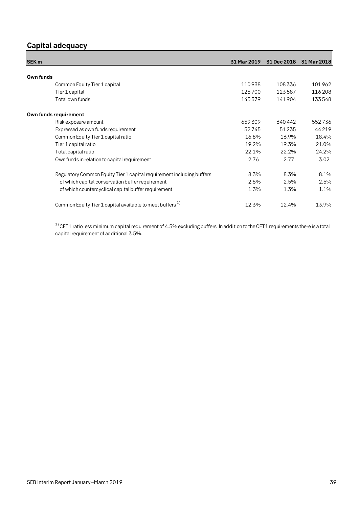# <span id="page-38-0"></span>**Capital adequacy**

| <b>SEK m</b>                                                          | 31 Mar 2019 | 31 Dec 2018 | 31 Mar 2018 |
|-----------------------------------------------------------------------|-------------|-------------|-------------|
|                                                                       |             |             |             |
| Own funds                                                             |             |             |             |
| Common Equity Tier 1 capital                                          | 110938      | 108336      | 101962      |
| Tier 1 capital                                                        | 126700      | 123587      | 116 208     |
| Total own funds                                                       | 145379      | 141904      | 133548      |
| Own funds requirement                                                 |             |             |             |
| Risk exposure amount                                                  | 659309      | 640442      | 552736      |
| Expressed as own funds requirement                                    | 52745       | 51 2 3 5    | 44219       |
| Common Equity Tier 1 capital ratio                                    | 16.8%       | 16.9%       | 18.4%       |
| Tier 1 capital ratio                                                  | 19.2%       | 19.3%       | 21.0%       |
| Total capital ratio                                                   | 22.1%       | 22.2%       | 24.2%       |
| Own funds in relation to capital requirement                          | 2.76        | 2.77        | 3.02        |
| Regulatory Common Equity Tier 1 capital requirement including buffers | 8.3%        | 8.3%        | 8.1%        |
| of which capital conservation buffer requirement                      | 2.5%        | 2.5%        | 2.5%        |
| of which countercyclical capital buffer requirement                   | 1.3%        | 1.3%        | 1.1%        |
| Common Equity Tier 1 capital available to meet buffers <sup>1)</sup>  | 12.3%       | 12.4%       | 13.9%       |

 $^{\rm 1)}$ CET1 ratio less minimum capital requirement of 4.5% excluding buffers. In addition to the CET1 requirements there is a total capital requirement of additional 3.5%.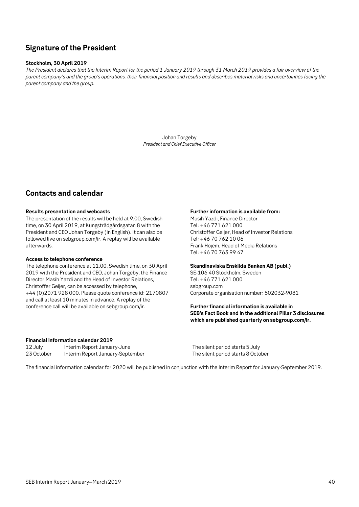# <span id="page-39-0"></span>**Signature of the President**

### **Stockholm, 30 April 2019**

*The President declares that the Interim Report for the period 1 January 2019 through 31 March 2019 provides a fair overview of the parent company's and the group's operations, their financial position and results and describes material risks and uncertainties facing the parent company and the group.*

> Johan Torgeby *President and Chief Executive Officer*

## <span id="page-39-1"></span>**Contacts and calendar**

#### **Results presentation and webcasts**

The presentation of the results will be held at 9.00, Swedish time, on 30 April 2019, at Kungsträdgårdsgatan 8 with the President and CEO Johan Torgeby (in English). It can also be followed live on sebgroup.com/ir. A replay will be available afterwards.

### **Access to telephone conference**

The telephone conference at 11.00, Swedish time, on 30 April 2019 with the President and CEO, Johan Torgeby, the Finance Director Masih Yazdi and the Head of Investor Relations, Christoffer Geijer, can be accessed by telephone, +44 (0)2071 928 000. Please quote conference id: 2170807 and call at least 10 minutes in advance. A replay of the conference call will be available on sebgroup.com/ir.

#### **Further information is available from:**

Masih Yazdi, Finance Director Tel: +46 771 621 000 Christoffer Geijer, Head of Investor Relations Tel: +46 70 762 10 06 Frank Hojem, Head of Media Relations Tel: +46 70 763 99 47

#### **Skandinaviska Enskilda Banken AB (publ.)**

SE-106 40 Stockholm, Sweden Tel: +46 771 621 000 sebgroup.com Corporate organisation number: 502032-9081

### **Further financial information is available in SEB's Fact Book and in the additional Pillar 3 disclosures which are published quarterly on sebgroup.com/ir.**

#### **Financial information calendar 2019**

| 12 July    | Interim Report January-June      |
|------------|----------------------------------|
| 23 October | Interim Report January-September |

The silent period starts 5 July 23 Person the silent period starts 8 October interiors and the silent period starts 8 October

The financial information calendar for 2020 will be published in conjunction with the Interim Report for January-September 2019.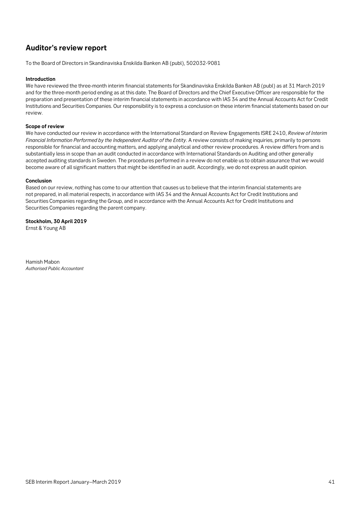# <span id="page-40-0"></span>**Auditor's review report**

To the Board of Directors in Skandinaviska Enskilda Banken AB (publ), 502032-9081

### **Introduction**

We have reviewed the three-month interim financial statements for Skandinaviska Enskilda Banken AB (publ) as at 31 March 2019 and for the three-month period ending as at this date. The Board of Directors and the Chief Executive Officer are responsible for the preparation and presentation of these interim financial statements in accordance with IAS 34 and the Annual Accounts Act for Credit Institutions and Securities Companies. Our responsibility is to express a conclusion on these interim financial statements based on our review.

#### **Scope of review**

We have conducted our review in accordance with the International Standard on Review Engagements ISRE 2410, *Review of Interim Financial Information Performed by the Independent Auditor of the Entity*. A review consists of making inquiries, primarily to persons responsible for financial and accounting matters, and applying analytical and other review procedures. A review differs from and is substantially less in scope than an audit conducted in accordance with International Standards on Auditing and other generally accepted auditing standards in Sweden. The procedures performed in a review do not enable us to obtain assurance that we would become aware of all significant matters that might be identified in an audit. Accordingly, we do not express an audit opinion.

#### **Conclusion**

Based on our review, nothing has come to our attention that causes us to believe that the interim financial statements are not prepared, in all material respects, in accordance with IAS 34 and the Annual Accounts Act for Credit Institutions and Securities Companies regarding the Group, and in accordance with the Annual Accounts Act for Credit Institutions and Securities Companies regarding the parent company.

**Stockholm, 30 April 2019** Ernst & Young AB

Hamish Mabon *Authorised Public Accountant*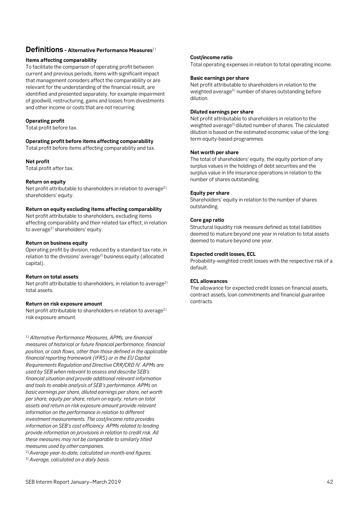### <span id="page-41-0"></span>**Definitions - Alternative Performance Measures**1)

### **Items affecting comparability**

*STOCKHOLM 3 MAY 2011* that management considers affect the comparability or are To facilitate the comparison of operating profit between current and previous periods, items with significant impact relevant for the understanding of the financial result, are identified and presented separately, for example impairment of goodwill, restructuring, gains and losses from divestments and other income or costs that are not recurring.

### **Operating profit**

Total profit before tax.

### **Operating profit before items affecting comparability**

Total profit before items affecting comparability and tax.

### **Net profit**

Total profit after tax.

### **Return on equity**

Net profit attributable to shareholders in relation to average<sup>2)</sup> shareholders' equity.

### **Return on equity excluding items affecting comparability**

Net profit attributable to shareholders, excluding items affecting comparability and their related tax effect, in relation to average<sup>2)</sup> shareholders' equity.

### **Return on business equity**

Operating profit by division, reduced by a standard tax rate, in relation to the divisions' average<sup>2)</sup> business equity (allocated capital).

### **Return on total assets**

Net profit attributable to shareholders, in relation to average<sup>2)</sup> total assets.

### **Return on risk exposure amount**

Net profit attributable to shareholders in relation to average<sup>2)</sup> risk exposure amount.

1) *Alternative Performance Measures, APMs, are financial measures of historical or future financial performance, financial position, or cash flows, other than those defined in the applicable financial reporting framework (IFRS) or in the EU Capital Requirements Regulation and Directive CRR/CRD IV. APMs are used by SEB when relevant to assess and describe SEB's financial situation and provide additional relevant information and tools to enable analysis of SEB's performance. APMs on basic earnings per share, diluted earnings per share, net worth per share, equity per share, return on equity, return on total assets and return on risk exposure amount provide relevant information on the performance in relation to different investment measurements. The cost/income ratio provides information on SEB's cost efficiency. APMs related to lending provide information on provisions in relation to credit risk. All these measures may not be comparable to similarly titled measures used by other companies.* 

2)*Average year-to-date, calculated on month-end figures.*

3)*Average, calculated on a daily basis.*

### **Cost/income ratio**

Total operating expenses in relation to total operating income.

### **Basic earnings per share**

Net profit attributable to shareholders in relation to the weighted average<sup>3)</sup> number of shares outstanding before dilution.

### **Diluted earnings per share**

Net profit attributable to shareholders in relation to the weighted average<sup>3)</sup> diluted number of shares. The calculated dilution is based on the estimated economic value of the longterm equity-based programmes.

### **Net worth per share**

The total of shareholders' equity, the equity portion of any surplus values in the holdings of debt securities and the surplus value in life insurance operations in relation to the number of shares outstanding.

### **Equity per share**

Shareholders' equity in relation to the number of shares outstanding.

### **Core gap ratio**

Structural liquidity risk measure defined as total liabilities deemed to mature beyond one year in relation to total assets deemed to mature beyond one year.

### **Expected credit losses, ECL**

Probability-weighted credit losses with the respective risk of a default.

### **ECL allowances**

The allowance for expected credit losses on financial assets, contract assets, loan commitments and financial guarantee contracts.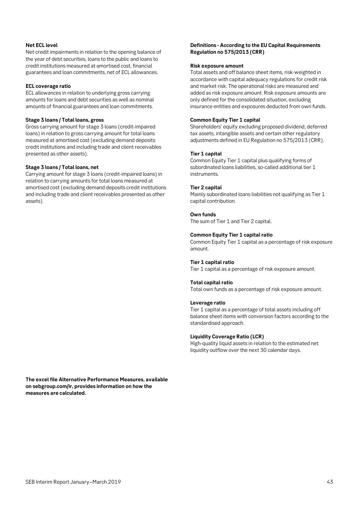### **Net ECL level**

Net credit impairments in relation to the opening balance of the year of debt securities, loans to the public and loans to credit institutions measured at amortised cost, financial guarantees and loan commitments, net of ECL allowances.

### **ECL coverage ratio**

ECL allowances in relation to underlying gross carrying amounts for loans and debt securities as well as nominal amounts of financial guarantees and loan commitments.

#### **Stage 3 loans / Total loans, gross**

Gross carrying amount for stage 3 loans (credit-impaired loans) in relation to gross carrying amount for total loans measured at amortised cost (excluding demand deposits credit institutions and including trade and client receivables presented as other assets).

### **Stage 3 loans / Total loans, net**

Carrying amount for stage 3 loans (credit-impaired loans) in relation to carrying amounts for total loans measured at amortised cost (excluding demand deposits credit institutions and including trade and client receivables presented as other assets).

### **Definitions - According to the EU Capital Requirements Regulation no 575/2013 (CRR)**

#### **Risk exposure amount**

Total assets and off balance sheet items, risk-weighted in accordance with capital adequacy regulations for credit risk and market risk. The operational risks are measured and added as risk exposure amount. Risk exposure amounts are only defined for the consolidated situation, excluding insurance entities and exposures deducted from own funds.

### **Common Equity Tier 1 capital**

Shareholders' equity excluding proposed dividend, deferred tax assets, intangible assets and certain other regulatory adjustments defined in EU Regulation no 575/2013 (CRR).

### **Tier 1 capital**

Common Equity Tier 1 capital plus qualifying forms of subordinated loans liabilities, so-called additional tier 1 instruments.

### **Tier 2 capital**

Mainly subordinated loans liabilities not qualifying as Tier 1 capital contribution.

### **Own funds**

The sum of Tier 1 and Tier 2 capital.

### **Common Equity Tier 1 capital ratio**

Common Equity Tier 1 capital as a percentage of risk exposure amount.

### **Tier 1 capital ratio**

Tier 1 capital as a percentage of risk exposure amount.

#### **Total capital ratio**

Total own funds as a percentage of risk exposure amount.

#### **Leverage ratio**

Tier 1 capital as a percentage of total assets including off balance sheet items with conversion factors according to the standardised approach.

### **Liquidity Coverage Ratio (LCR)**

High-quality liquid assets in relation to the estimated net liquidity outflow over the next 30 calendar days.

**The excel file Alternative Performance Measures, available on sebgroup.com/ir, provides information on how the measures are calculated.**